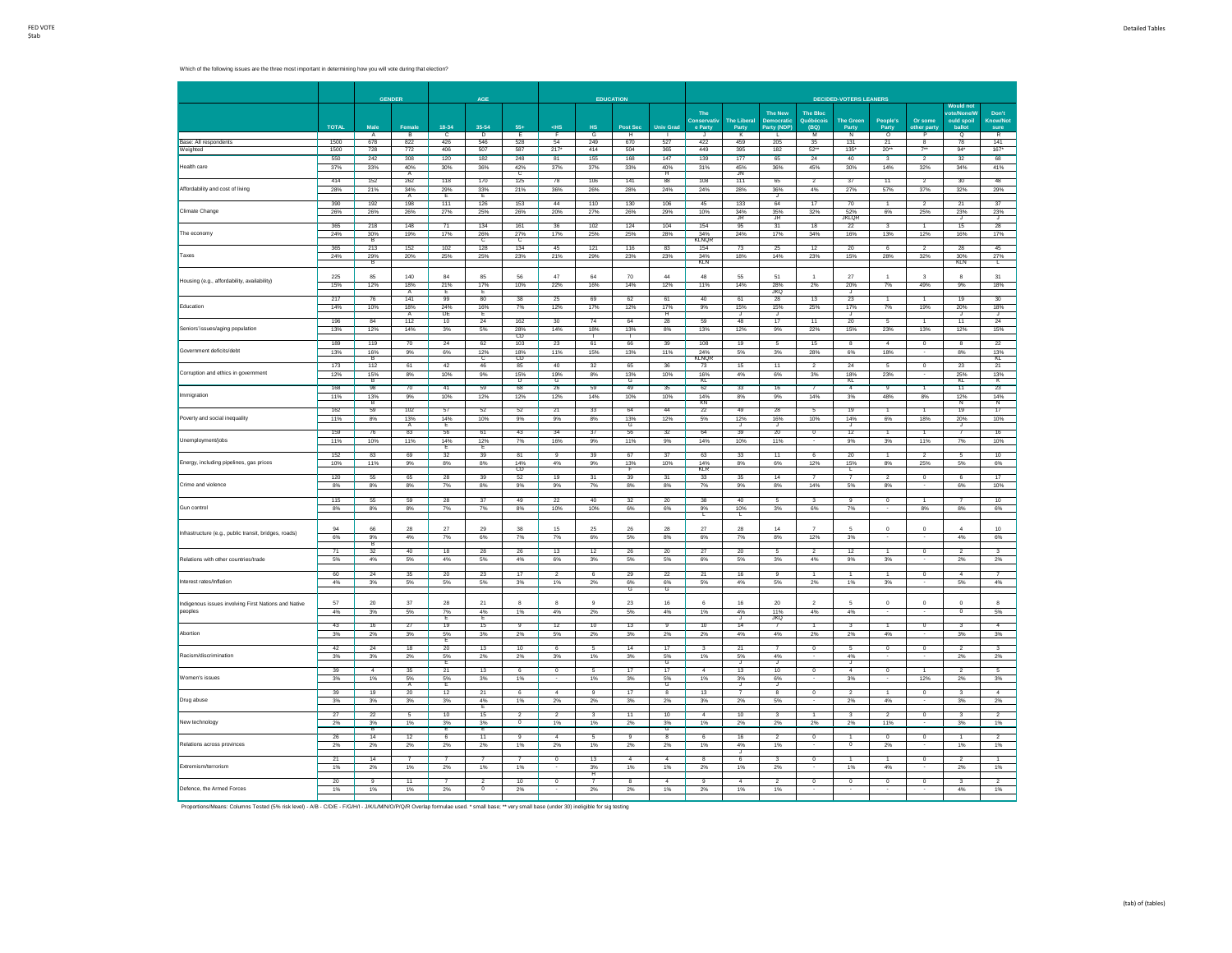|                                                       |              |                              | <b>GENDER</b>                |                       | AGE                              |                      |                                        |                       | <b>EDUCATION</b>              |                              |                       |                           |                              |                              | <b>DECIDED-VOTERS LEANERS</b>  |                                     |                          |                             |                                 |
|-------------------------------------------------------|--------------|------------------------------|------------------------------|-----------------------|----------------------------------|----------------------|----------------------------------------|-----------------------|-------------------------------|------------------------------|-----------------------|---------------------------|------------------------------|------------------------------|--------------------------------|-------------------------------------|--------------------------|-----------------------------|---------------------------------|
|                                                       |              |                              |                              |                       |                                  |                      |                                        |                       |                               |                              |                       |                           |                              |                              |                                |                                     |                          | <b>Would not</b>            |                                 |
|                                                       |              |                              |                              |                       |                                  |                      |                                        |                       |                               |                              | The<br>Conservativ    | <b>The Liberal</b>        | <b>The New</b><br>Democratio | <b>The Bloc</b><br>Ouéhécoir | <b>The Green</b>               | People's                            | Or some                  | ote/None/<br>ould spoil     | Don't<br>Know/No                |
|                                                       | <b>TOTAL</b> | Male<br>A                    | Female<br>B                  | 18-34<br>c            | 35-54<br>Þ                       | 554<br>Έ             | $<$ HS<br>F                            | HS<br>G               | Post Sec<br>$\overline{H}$    | <b>Univ Grad</b>             | e Party               | Party<br>K                | Party (NDP)                  | (BQ)<br>M                    | Party<br>N                     | Party<br>$\overline{\circ}$         | other part<br>ъ          | hallo<br>$\circ$            | sure<br>$\overline{R}$          |
| Base: All respondents                                 | 1500         | 678                          | 822                          | 426                   | 546                              | 528                  | 54                                     | 249                   | 670                           | 527                          | 422                   | 459                       | 205                          | 35                           | 131                            | $\overline{21}$                     | $\overline{\mathbf{8}}$  | 78                          | 141                             |
| Weighted                                              | 1500         | 728                          | 772                          | 406                   | 507                              | 587                  | 217"                                   | 414                   | 504                           | 365                          | 449                   | 395                       | 182                          | $52 -$                       | $135*$                         | $20^{**}$                           | $7 -$                    | 94"                         | $167*$                          |
| lealth care                                           | 550<br>37%   | 242<br>33%                   | 308<br>40%<br>A              | 120<br>30%            | 182<br>36%                       | 248<br>42%<br>C      | 81<br>37%                              | 155<br>37%            | 168<br>33%                    | 147<br>40%<br>Ħ              | 139<br>31%            | 177<br>45%<br>JN          | 65<br>36%                    | 24<br>45%                    | 40<br>30%                      | 14%                                 | 32%                      | 32<br>34%                   | 68<br>41%                       |
| Affordability and cost of living                      | 414<br>28%   | 152<br>21%                   | 262<br>34%<br>A              | 118<br>29%<br>Έ       | 170<br>33%<br>Έ                  | 125<br>21%           | 78<br>36%                              | 106<br>26%            | 141<br>28%                    | 88<br>24%                    | 108<br>24%            | 111<br>28%                | 65<br>36%<br>↴               | 4%                           | 37<br>27%                      | $\overline{11}$<br>57%              | 37%                      | 30<br>32%                   | 48<br>29%                       |
| Climate Change                                        | 390<br>26%   | 192<br>26%                   | 198<br>26%                   | 111<br>27%            | 126<br>25%                       | 153<br>26%           | 44<br>20%                              | 110<br>27%            | 130<br>26%                    | 106<br>29%                   | 45<br>10%             | 133<br>34%                | 64<br>35%                    | 17<br>32%                    | 70<br>52%                      | 6%                                  | $\mathfrak{p}$<br>25%    | $\overline{21}$<br>23%      | $\overline{37}$<br>23%          |
| The economy                                           | 365<br>24%   | 218<br>30%                   | 148<br>19%                   | 71<br>17%             | 134<br>26%                       | 161<br>27%           | 36<br>17%                              | 102<br>25%            | 124<br>25%                    | 104<br>28%                   | 154<br>34%            | -JR<br>95<br>24%          | JR<br>31<br>17%              | 18<br>34%                    | <b>JKLOR</b><br>22<br>16%      | $\overline{\mathbf{3}}$<br>13%      | $\mathbf{1}$<br>12%      | ↴<br>15<br>16%              | ↴<br>28<br>17%                  |
| Taxes                                                 | 365<br>24%   | R<br>213                     | 152<br>20%                   | 102<br>25%            | Ċ<br>128<br>25%                  | 134<br>23%           | 45<br>21%                              | 121<br>29%            | 116<br>23%                    | 83<br>23%                    | KLNQR<br>154          | 73<br>18%                 | 25<br>14%                    | 12<br>23%                    | 20<br>15%                      | 28%                                 | $\overline{2}$<br>32%    | 28                          | 45                              |
|                                                       | 225          | $^{29\%}_{\  \  \, B}$<br>85 | 140                          | 84                    | 85                               | 56                   | 47                                     | 64                    | 70                            | 44                           | 34%<br>KLN<br>48      | 55                        | 51                           |                              | 27                             |                                     | $\overline{\mathbf{3}}$  | 30%<br>KLN<br>8             | $27\%$<br>31                    |
| Housing (e.g., affordability, availability)           | 15%          | 12%                          | 18%<br>A                     | 21%<br>Е              | 17%<br>E                         | 10%                  | 22%                                    | 16%                   | 14%                           | 12%                          | 11%                   | 14%                       | 28%<br>JKQ                   | 2%                           | 20%<br>J                       | $7\%$                               | 49%                      | 9%                          | 18%                             |
| Education                                             | 217<br>14%   | 76<br>10%                    | 141<br>18%<br>$\overline{A}$ | 99<br>24%<br>DE       | 80<br>16%<br>Έ                   | 38<br>7%             | 25<br>12%                              | 69<br>17%             | 62<br>12%                     | 61<br>17%<br>$\overline{H}$  | 40<br>9%              | 61<br>15%<br>⋾            | 28<br>15%<br>⋾               | $\overline{13}$<br>25%       | 23<br>17%<br>┱                 | 7%                                  | 1<br>19%                 | 19<br>20%<br>J              | 30<br>18%<br>ᢖ                  |
| Seniors'issues/aging population                       | 196<br>13%   | 84<br>12%                    | 112<br>14%                   | 10<br>3%              | 24<br>5%                         | 162<br>28%           | 30<br>14%                              | 74<br>18%             | 64<br>13%                     | 28<br>8%                     | 59<br>13%             | 48<br>12%                 | 17<br>9%                     | 11<br>22%                    | 20<br>15%                      | -5<br>23%                           | $\overline{1}$<br>13%    | $\overline{11}$<br>12%      | 24<br>15%                       |
| Government deficits/debt                              | 189<br>13%   | 119<br>16%                   | 70<br>9%                     | 24<br>6%              | 62<br>12%                        | CD<br>103<br>18%     | 23<br>11%                              | 61<br>15%             | 66<br>13%                     | 39<br>11%                    | 108<br>24%            | 19<br>5%                  | 5<br>3%                      | 15<br>28%                    | $\overline{\mathbf{8}}$<br>6%  | $\overline{4}$<br>18%               | $\overline{0}$           | 8<br>$R\%$                  | 22<br>13%                       |
|                                                       | 173          | B<br>112                     | 61                           | 42                    | 군<br>46                          | CD<br>85             | 40                                     | 32                    | 65                            | 36                           | KLNQH<br>73           | 15                        | 11                           |                              | 24                             | 5                                   | $\overline{0}$           | 23                          | KL<br>21                        |
| Corruption and ethics in government                   | 12%          | $\frac{15\%}{B}$             | 8%                           | 10%                   | 9%                               | $\frac{15\%}{D}$     | 19%<br>G                               | 8%                    | 13%<br>G                      | 10%                          | 16%<br>KL             | 4%                        | 6%                           | $\overline{2}$<br>3%         | 18%<br>KL                      | 23%                                 |                          | 25%<br>KL                   | $\frac{13\%}{K}$                |
| Immigration                                           | 168<br>11%   | 98<br>13%<br>B               | 70<br>9%                     | 41<br>10%             | 59<br>12%                        | 68<br>12%            | 26<br>12%                              | 59<br>14%             | 49<br>10%                     | 35<br>10%                    | 62<br>14%<br>KN       | 33<br>8%                  | 16<br>9%                     | $\overline{7}$<br>14%        | $\overline{4}$<br>3%           | $\overline{9}$<br>48%               | $\overline{1}$<br>8%     | 11<br>12%<br>$\overline{N}$ | 23<br>14%<br>$\overline{N}$     |
| Poverty and social inequality                         | 162<br>11%   | 59<br>8%                     | 102<br>13%                   | 57<br>14%             | 52<br>10%                        | 52<br>9%             | 21<br>9%                               | 33<br>8%              | 64<br>13%                     | 44<br>12%                    | 22<br>5%              | 49<br>12%                 | 28<br>16%                    | 5<br>10%                     | 19<br>14%                      | 6%                                  | 18%                      | 19<br>20%                   | 17<br>10%                       |
|                                                       | 159          | 76                           | $\overline{A}$<br>83         | 56                    | 61                               | 43                   | 34                                     | 37                    | ढ<br>56                       | 32                           | 64                    | J<br>39                   | 20                           | $\overline{0}$               | 12                             | $\overline{1}$                      | 1                        | J<br>$\overline{7}$         | 16                              |
| Unemployment/jobs                                     | 11%          | 10%                          | 11%                          | 14%<br>т              | 12%<br>т                         | 7%                   | 16%                                    | 9%                    | 11%                           | 9%                           | 14%                   | 10%                       | 11%                          |                              | 9%                             | 3%                                  | 11%                      | 7%                          | 10%                             |
| Energy, including pipelines, gas prices               | 152<br>10%   | 83<br>11%                    | 69<br>9%                     | $\overline{32}$<br>8% | 39<br>8%                         | 81<br>14%<br>CD.     | 9<br>4%                                | 39<br>9%              | 67<br>13%<br>┲                | $\overline{37}$<br>10%       | 63<br>14%<br>KIR      | 33<br>8%                  | 11<br>6%                     | 6<br>12%                     | $\overline{20}$<br>15%<br>┯    | 8%                                  | $\mathfrak{p}$<br>25%    | 5<br>5%                     | $\overline{10}$<br>6%           |
| Crime and violence                                    | 120<br>8%    | 55<br>8%                     | 65<br>8%                     | 28<br>7%              | 39<br>8%                         | 52<br>9%             | 19<br>9%                               | 31<br>7%              | 39<br>8%                      | $\overline{31}$<br>8%        | 33<br>7%              | 35<br>9%                  | $\overline{14}$<br>8%        | $\overline{7}$<br>14%        | 5%                             | ⇁<br>8%                             | $\overline{\phantom{a}}$ | 6<br>6%                     | $\overline{17}$<br>10%          |
| Gun control                                           | 115<br>8%    | 55<br>8%                     | 59<br>8%                     | 28<br>7%              | 37<br>7%                         | 49<br>8%             | 22<br>10%                              | 40<br>10%             | 32<br>6%                      | 20<br>6%                     | 38<br>9%              | 40<br>10%                 | 5<br>3%                      | 3<br>6%                      | 9<br>7%                        | $\circ$                             | 8%                       | 8%                          | 10<br>6%                        |
|                                                       |              |                              |                              |                       |                                  |                      |                                        |                       |                               |                              | τ                     | τ                         |                              |                              |                                |                                     |                          |                             |                                 |
| Infrastructure (e.g., public transit, bridges, roads) | 94<br>6%     | 66<br>$\frac{9\%}{B}$        | 28<br>4%                     | 27<br>7%              | 29<br>6%                         | 38<br>7%             | 15<br>7%                               | 25<br>6%              | 26<br>5%                      | 28<br>8%                     | $27\,$<br>6%          | $\sqrt{28}$<br>7%         | 14<br>8%                     | $\overline{7}$<br>12%        | 5<br>3%                        | $\circ$<br>$\overline{\phantom{a}}$ | $\mathbf 0$<br>÷         | $\overline{a}$<br>4%        | 10<br>6%                        |
|                                                       | 71           | 32                           | 40                           | 18                    | 28                               | 26                   | 13                                     | 12                    | 26                            | 20                           | 27                    | 20                        | 5                            | $\overline{\phantom{a}}$     | 12                             | $\overline{1}$                      | $\overline{0}$           | $\overline{2}$              | $\overline{\mathbf{3}}$         |
| Relations with other countries/trade                  | 5%           | 4%                           | 5%                           | 4%                    | 5%                               | 4%                   | 6%                                     | 3%                    | 5%                            | 5%                           | 6%                    | 5%                        | 3%                           | 4%                           | 9%                             | 3%                                  |                          | 2%                          | 2%                              |
| Interest rates/Inflation                              | 60<br>4%     | 24<br>3%                     | 35<br>5%                     | 20<br>5%              | 23<br>5%                         | 17<br>3%             | $\overline{2}$<br>1%                   | 6<br>2%               | 29<br>6%<br>उ                 | 22<br>6%<br>ढ                | 21<br>5%              | 16<br>4%                  | 9<br>5%                      | $\mathbf{1}$<br>2%           | $\overline{1}$<br>1%           | $\overline{1}$<br>3%                | $^{\circ}$<br>$\sim$     | $\sim$<br>5%                | $\overline{7}$<br>4%            |
| Indigenous issues involving First Nations and Native  | 57           | 20                           | 37                           | 28                    | 21                               | 8                    | $\mathbf{a}$                           | $\mathbf{Q}$          | 23                            | 16                           | 6                     | 16                        | 20                           | $\mathcal{P}$                | $5\overline{5}$                | $\Omega$                            | $\Omega$                 | $\theta$                    | $\mathbf{a}$                    |
| peoples                                               | 4%           | 3%                           | 5%                           | 7%<br>┲               | 4%<br>┲                          | $1\%$                | 4%                                     | 2%                    | 5%                            | $4\%$                        | 1%                    | 4%<br>┳                   | 11%<br><b>JKQ</b>            | 4%                           | $4\%$                          | $\overline{\phantom{a}}$            | n.                       | $\overline{\mathbf{0}}$     | 5%                              |
| Abortion                                              | 43<br>3%     | 16<br>2%                     | $\overline{27}$<br>3%        | 19<br>5%              | 15<br>3%                         | $\overline{9}$<br>2% | 12<br>5%                               | 10<br>2%              | 13<br>3%                      | $\overline{9}$<br>2%         | 10<br>2%              | 14<br>4%                  | $\overline{7}$<br>4%         | 2%                           | $\overline{\mathbf{3}}$<br>2%  | 4%                                  | $\overline{0}$           | 3%                          | $\overline{4}$<br>3%            |
| Racism/discrimination                                 | 42<br>3%     | 24<br>3%                     | 18<br>2%                     | 20<br>5%              | 13<br>2%                         | 10<br>2%             | 6<br>3%                                | $\overline{5}$<br>1%  | 14<br>3%                      | $\overline{17}$<br>5%        | 1%                    | 21<br>5%                  | $\overline{7}$<br>4%         | $\overline{0}$               | $\overline{5}$<br>4%           | $\overline{0}$<br>$\sim$            | $\overline{0}$           | $\overline{2}$<br>2%        | $\overline{\phantom{a}3}$<br>2% |
| Women's issues                                        | 39           | $\sim$                       | 35<br>5%                     | Е<br>21<br>5%         | 13                               | 6                    | $^{\circ}$<br>$\overline{\phantom{a}}$ | 5                     | 17                            | G<br>17<br>5%                | 4                     | J<br>$\overline{13}$      | J<br>10<br>6%                | $^{\circ}$                   | J<br>$\sim$                    | $^{\circ}$                          |                          | $\overline{2}$              | 5                               |
|                                                       | 3%<br>39     | 1%<br>19                     | A<br>20                      | Έ<br>12               | 3%<br>$^{21}$                    | 1%<br>6              | $\overline{4}$                         | 1%<br>$\overline{9}$  | 3%<br>$\overline{17}$         | G<br>$\overline{\mathbf{8}}$ | 1%<br>$\overline{13}$ | 3%<br>ᢖ<br>$\overline{7}$ | T<br>$\overline{\mathbf{a}}$ | $\overline{0}$               | 3%<br>$\overline{\phantom{a}}$ | $\blacktriangleleft$                | 12%<br>$\overline{0}$    | 2%<br>$\overline{3}$        | 3%<br>$\overline{4}$            |
| Drug abuse                                            | 3%<br>27     | 3%<br>22                     | 3%                           | 3%<br>10              | 4%<br>ᆍ<br>15                    | 1%<br>っ              | 2%<br>っ                                | 2%                    | 3%<br>$\overline{11}$         | 2%<br>10                     | 3%<br>$\overline{4}$  | 2%<br>10                  | 5%<br>3                      |                              | 2%<br>$\overline{\mathbf{3}}$  | 4%<br>$\overline{2}$                | $\overline{0}$           | 3%<br>3                     | 2%<br>$\overline{2}$            |
| New technology                                        | 2%           | $\frac{3\%}{B}$              | 1%                           | 3%<br>Έ               | $\frac{3\%}{E}$                  | $\overline{0}$       | 1%                                     | 1%                    | $2\%$                         | $\frac{3\%}{\mathsf{G}}$     | 1%                    | 2%                        | $2\%$                        | 2%                           | $2\%$                          | 11%                                 |                          | 3%                          | 1%                              |
| Relations across provinces                            | 26<br>$2\%$  | 14<br>2%                     | 12<br>$2\%$                  | 6<br>$2\%$            | 11<br>2%                         | $\overline{9}$<br>1% | $\overline{4}$<br>2%                   | 5<br>1%               | $\overline{9}$<br>2%          | $_{8}$<br>2%                 | 6<br>1%               | 16<br>4%<br>J             | $\overline{2}$<br>1%         | $\overline{0}$               | $\overline{0}$                 | $\overline{0}$<br>2%                | $\overline{0}$           | 1<br>1%                     | $\overline{2}$<br>1%            |
| Extremism/terrorism                                   | 21<br>1%     | 14<br>2%                     | 1%                           | 2%                    | 7<br>1%                          | $\overline{7}$<br>1% | $^{\circ}$                             | 13<br>$\frac{3\%}{H}$ | $\overline{a}$<br>1%          | $\boldsymbol{A}$<br>1%       | 8<br>2%               | 6<br>1%                   | 3<br>2%                      | $^{\circ}$<br>$\sim$         | $\mathbf{1}$<br>$1\%$          | -1<br>4%                            | $^{\circ}$               | $\overline{2}$<br>2%        | $\mathbf{1}$<br>1%              |
| Defence, the Armed Forces                             | 20<br>1%     | $\overline{9}$<br>1%         | 11<br>1%                     | 2%                    | $\overline{2}$<br>$\overline{0}$ | 10<br>2%             | $\overline{0}$                         | $\overline{7}$<br>2%  | $\overline{\mathbf{8}}$<br>2% | $\overline{4}$<br>1%         | $\overline{9}$<br>2%  | $\overline{4}$<br>1%      | $\overline{2}$<br>1%         | $\overline{0}$               | $\overline{0}$                 | $\overline{0}$                      | $\overline{0}$           | 3<br>4%                     | $\overline{2}$<br>1%            |
|                                                       |              |                              |                              |                       |                                  |                      |                                        |                       |                               |                              |                       |                           |                              |                              |                                |                                     |                          |                             |                                 |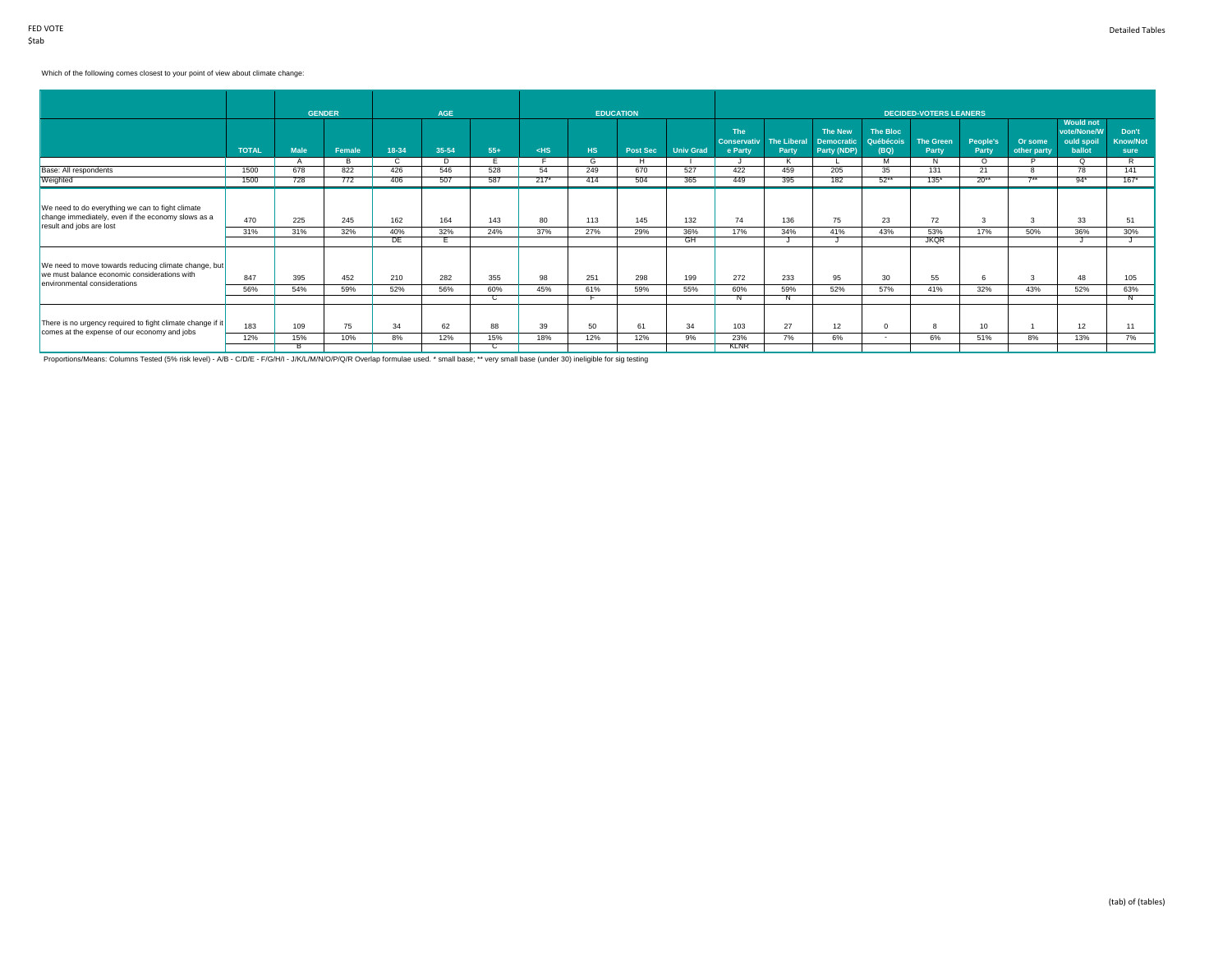## Which of the following comes closest to your point of view about climate change:

|                                                                                                                                      | <b>TOTAL</b> | <b>Male</b>     | <b>GENDER</b><br>Female | 18-34            | <b>AGE</b><br>35-54 | $55+$            | $<$ HS    | <b>HS</b>  | <b>EDUCATION</b><br><b>Post Sec</b> | <b>Univ Grad</b> | <b>The</b><br><b>Conservativ</b><br>e Party | <b>The Liberal</b><br>Party | <b>The New</b><br><b>Democratic</b><br>Party (NDP) | The Bloc<br>Québécois<br>(BQ) | <b>DECIDED-VOTERS LEANERS</b><br><b>The Green</b><br>Party | People's<br>Party | Or some<br>other party | <b>Would not</b><br>vote/None/W<br>ould spoil<br>ballot | Don't<br><b>Know/Not</b><br>sure |
|--------------------------------------------------------------------------------------------------------------------------------------|--------------|-----------------|-------------------------|------------------|---------------------|------------------|-----------|------------|-------------------------------------|------------------|---------------------------------------------|-----------------------------|----------------------------------------------------|-------------------------------|------------------------------------------------------------|-------------------|------------------------|---------------------------------------------------------|----------------------------------|
|                                                                                                                                      |              | A               | в                       | C.               | D                   | E                |           | G          | H                                   |                  |                                             | K                           |                                                    | M                             | N                                                          | $\Omega$          | P                      | O                                                       | R.                               |
| Base: All respondents                                                                                                                | 1500         | 678             | 822                     | 426              | 546                 | 528              | 54        | 249        | 670                                 | 527              | 422                                         | 459                         | 205                                                | 35                            | 131                                                        | 21                | 8                      | 78                                                      | 141                              |
| Weighted                                                                                                                             | 1500         | 728             | 772                     | 406              | 507                 | 587              | $217*$    | 414        | 504                                 | 365              | 449                                         | 395                         | 182                                                | $52***$                       | $135*$                                                     | $20**$            | $7**$                  | $94*$                                                   | $167*$                           |
| We need to do everything we can to fight climate<br>change immediately, even if the economy slows as a<br>result and jobs are lost   | 470<br>31%   | 225<br>31%      | 245<br>32%              | 162<br>40%<br>DE | 164<br>32%          | 143<br>24%       | 80<br>37% | 113<br>27% | 145<br>29%                          | 132<br>36%<br>GH | 74<br>17%                                   | 136<br>34%                  | 75<br>41%                                          | 23<br>43%                     | 72<br>53%<br><b>JKOR</b>                                   | 3<br>17%          | 3<br>50%               | 33<br>36%                                               | 51<br>30%                        |
| We need to move towards reducing climate change, but<br>we must balance economic considerations with<br>environmental considerations | 847<br>56%   | 395<br>54%      | 452<br>59%              | 210<br>52%       | 282<br>56%          | 355<br>60%<br>C. | 98<br>45% | 251<br>61% | 298<br>59%                          | 199<br>55%       | 272<br>60%                                  | 233<br>59%<br>N             | 95<br>52%                                          | 30<br>57%                     | 55<br>41%                                                  | 6<br>32%          | $\mathbf{3}$<br>43%    | 48<br>52%                                               | 105<br>63%<br>N                  |
| There is no urgency required to fight climate change if it<br>comes at the expense of our economy and jobs                           | 183<br>12%   | 109<br>15%<br>R | 75<br>10%               | 34<br>8%         | 62<br>12%           | 88<br>15%        | 39<br>18% | 50<br>12%  | 61<br>12%                           | 34<br>9%         | 103<br>23%<br><b>KLNR</b>                   | 27<br>7%                    | 12<br>6%                                           | $\overline{\phantom{a}}$      | 6%                                                         | 10<br>51%         | 8%                     | 12<br>13%                                               | 11<br>7%                         |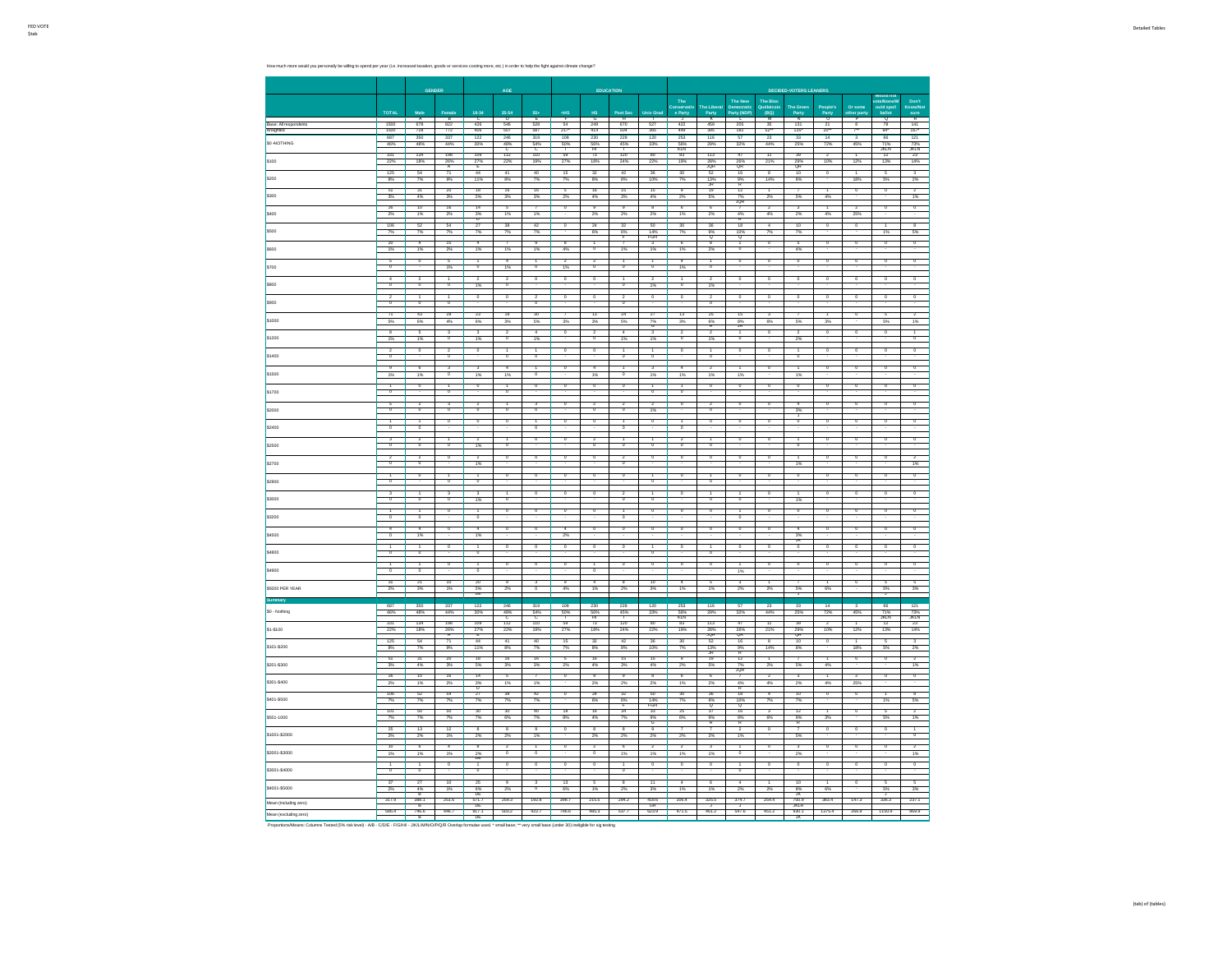How much more would you personally be willing to spend per year (i.e. increased taxation, goods or services costing more, etc.) in order to help the fight against climate change?

|                         |                        |                                    |                                                                |                                            | AGE                                              |                                |                           | EDUCATION               |                          |                           |                           |                                                                           |                                    |                                  | <b>DECIDED-VOTERS LEANERS</b>       |                                |                                |                             |                         |
|-------------------------|------------------------|------------------------------------|----------------------------------------------------------------|--------------------------------------------|--------------------------------------------------|--------------------------------|---------------------------|-------------------------|--------------------------|---------------------------|---------------------------|---------------------------------------------------------------------------|------------------------------------|----------------------------------|-------------------------------------|--------------------------------|--------------------------------|-----------------------------|-------------------------|
|                         | TOTAL                  |                                    |                                                                | 18-34                                      | 35-54                                            |                                |                           | H\$                     |                          |                           | The<br>onserva<br>e Party | The Libe<br>Party                                                         | The New<br>rty (N                  | The Bloc<br><b>TOP</b>           | The Gree<br>Party                   | People's<br>Party              | Or sq                          |                             |                         |
| Raser All r<br>Weighter | 1500<br>$rac{1}{1500}$ | $A$<br>$678$<br>$728$              | $\begin{array}{r} \n 8 \\  822 \\  \hline\n 772\n \end{array}$ | $rac{C}{426}$<br>406                       | $\begin{array}{c}\n0 \\ 546 \\ 507\n\end{array}$ | $rac{E}{528}$<br>$rac{1}{587}$ | $rac{F}{54}$<br>217       | $rac{G}{249}$           | $\frac{H}{670}$          | $\frac{1}{527}$<br>365    | $\frac{1}{422}$<br>449    | $\begin{array}{r} \n \overline{K} \\  459 \\  \hline\n 395\n \end{array}$ | $rac{L}{205}$                      | $\frac{M}{35}$<br>$\frac{1}{52}$ | $\frac{N}{131}$<br>135              | $rac{0}{21}$<br>$\frac{1}{20}$ |                                | $rac{Q}{78}$<br>94*         | $\frac{R}{141}$         |
| \$0-NOTHING             | 687<br>46%             | 350<br>48%                         | 337<br>44%                                                     | 122<br>30%                                 | 246<br>48%                                       | 319<br>54%                     | 108<br>50%                | 230<br>56%              | 228<br>45%               | 120<br>33%                | 253<br>56%<br>KLN         | 116<br>29%                                                                | 57<br>32%                          | 23<br>44%                        | 33<br>25%                           | $\overline{14}$<br>72%         | 45%                            | 66<br>71%<br>JKLN           | 121<br>73%<br>KLN       |
| \$100                   | 331<br>22%             | 134<br>18%                         | 198<br>$\frac{26\%}{A}$                                        | 109<br>$27\%$                              | $112$<br>22%                                     | 110<br>19%                     | 59<br>27%                 | $\overline{73}$<br>18%  | 120<br>24%               | 80<br>22%                 | 83<br>19%                 | 113<br>28%<br>JOR                                                         | $47\,$<br>26%<br>QR                | 11<br>21%                        | 39<br>29%<br>QR                     | $\overline{2}$<br>10%          | 12%                            | 12<br>13%                   | 23<br>14%               |
| \$200                   | 125<br>8%              | 54<br>$7\%$                        | 71<br>9%                                                       | 44<br>11%                                  | 41<br>8%                                         | 40<br>7%                       | 15<br>7%                  | $\overline{32}$<br>8%   | 8%                       | 35<br>10%                 | 30<br>7%                  | $\frac{13\%}{\text{JR}}$                                                  | 16<br>$\frac{9\%}{R}$              | 14%                              | 10<br>8%                            |                                | 18%                            | 5%                          | 2%                      |
| \$300                   | 51<br>3%               | 31<br>4%                           | 20<br>3%                                                       | 18<br>$5\%$                                | 16<br>3%                                         | 16<br>3%                       | 5<br>$2\%$                | 16<br>4%                | 15<br>3%                 | 15<br>4%                  | 9<br>$2\%$                | 19<br>5%                                                                  | $\overline{12}$                    | 2%                               | 5%                                  | 4%                             |                                | $\circ$                     | 1%                      |
| \$400                   | 26                     | 10                                 | 16                                                             | 14                                         |                                                  |                                | $\overline{\phantom{a}}$  |                         |                          |                           | 6                         | 6                                                                         | 7%<br>JQR                          |                                  |                                     |                                | 25V                            |                             |                         |
|                         | 2%<br>106              | 1%<br>52                           | 2%<br>$^{\rm 54}$                                              | $\frac{3\%}{D}$<br>$27\,$                  | 1%<br>38                                         | 1%<br>42                       | $\overline{\phantom{a}}$  | 2%<br>$^{24}$           | 2%<br>$\overline{32}$    | 2%<br>50                  | 1%<br>30 <sub>2</sub>     | 2%<br>36                                                                  | $\frac{4\%}{R}$                    | 4%                               | 2%<br>10                            | 4%<br>$\overline{0}$           |                                |                             |                         |
| \$500                   | 7%                     | 7%                                 | 7%<br>15                                                       | 7%                                         | 7%                                               | 7%                             | 8                         | 6%                      | $rac{6\%}{r}$            | 14%<br>FGH                | 7%<br>6                   | $\frac{9\%}{0}$                                                           | $\frac{10\%}{9}$                   | 7%                               | 7%<br>5                             |                                |                                | 1%                          | 5%                      |
| cron                    | 1%<br>$\overline{5}$   | 1%                                 | 2%<br>5                                                        | 1%<br>┱                                    | 1%<br>74                                         | 1%                             | 4%<br>$\overline{2}$      | $\overline{2}$          | 19                       | 1%                        | 1%                        | 2%                                                                        | ᅙ                                  | $\overline{\circ}$               | 4%<br>$\overline{\phantom{a}}$      | $\overline{\phantom{a}}$       | $\overline{\phantom{a}}$       | $\overline{\circ}$          |                         |
| \$700                   |                        | $\overline{0}$                     | 1%                                                             | $\overline{0}$                             | 1%                                               | 1<br>$\overline{a}$            | 1%                        | $\overline{0}$          |                          | 1<br>$\overline{0}$       | $\frac{4}{1\%}$           | $\overline{1}$<br>$\overline{0}$                                          |                                    |                                  |                                     |                                |                                |                             | 0                       |
| \$800                   |                        | $\overline{2}$                     |                                                                | $\overline{\mathbf{z}}$<br>1%              |                                                  |                                | $\overline{0}$            |                         |                          | 1%                        |                           | $1\%$                                                                     |                                    |                                  |                                     |                                |                                |                             |                         |
| 6900                    |                        |                                    | ō                                                              | $\overline{0}$                             | $\overline{0}$                                   |                                | o                         | $\overline{0}$          | ō                        | $\overline{0}$            | o                         | $\begin{array}{c} 2 \\ 0 \end{array}$                                     |                                    |                                  | $\circ$                             | $\overline{0}$                 |                                |                             |                         |
| \$1000                  | $\overline{71}$        | 43<br>6%                           | 28<br>4%                                                       | 23<br>6%                                   | $\overline{18}$<br>3%                            | $\overline{30}$<br>5%          | 3%                        | $\overline{13}$<br>3%   | $\overline{24}$<br>5%    | $\overline{z}$<br>7%<br>G | $\overline{13}$<br>3%     | 25<br>6%<br>R                                                             | $\overline{15}$<br>8%<br><b>JR</b> | 6%                               | 5%                                  | 3%                             |                                | 5%                          |                         |
| \$1200                  |                        |                                    |                                                                |                                            |                                                  |                                |                           |                         |                          |                           |                           |                                                                           |                                    |                                  | 2 <sup>2</sup>                      |                                |                                |                             |                         |
| \$1400                  | o                      |                                    | $^{\circ}$                                                     |                                            | o                                                | $\overline{\mathbf{0}}$        |                           |                         | ō                        | ō                         |                           | ō                                                                         |                                    |                                  | o                                   |                                |                                |                             |                         |
| \$1500                  | 1%                     | 1%                                 | $\overline{\phantom{a}}$                                       | 1%                                         | 1%                                               |                                |                           | 1%                      |                          | 1%                        | 1%                        | 1%                                                                        | 1%                                 |                                  | $\overline{1\%}$                    |                                |                                |                             |                         |
| \$1700                  | 'n                     | o                                  | $\overline{0}$                                                 | $\overline{0}$                             | $\overline{a}$                                   | $\overline{0}$                 | $\overline{0}$            | ō                       | $\overline{\phantom{a}}$ | $\overline{0}$            | $\overline{0}$            | $\overline{\phantom{a}}$                                                  |                                    |                                  | $\circ$                             | $^{\circ}$                     |                                |                             |                         |
| \$2000                  |                        | $\overline{0}$                     | 'n                                                             | $\overline{\mathfrak{o}}$                  |                                                  |                                |                           |                         |                          | 1%                        |                           |                                                                           |                                    |                                  | 3%                                  |                                |                                |                             |                         |
| 62400                   |                        |                                    | 'n                                                             | $\overline{0}$                             |                                                  |                                | ñ                         |                         |                          |                           | $\overline{1}$            | $\overline{ }$                                                            |                                    |                                  |                                     |                                |                                |                             |                         |
| \$2500                  |                        |                                    |                                                                | 1%                                         |                                                  |                                |                           |                         |                          |                           |                           |                                                                           |                                    |                                  |                                     |                                |                                |                             |                         |
| \$2700                  |                        | $^{\circ}$                         |                                                                | 7<br>1%                                    |                                                  |                                |                           |                         |                          |                           |                           | $\overline{0}$                                                            |                                    |                                  | 1%                                  |                                |                                |                             | 1%                      |
| \$2900                  | $\overline{0}$         |                                    | $\overline{0}$                                                 | $\overline{0}$                             |                                                  |                                |                           |                         |                          |                           |                           | $\overline{0}$                                                            |                                    |                                  |                                     |                                |                                |                             |                         |
| \$3000                  |                        |                                    |                                                                | 1%                                         |                                                  |                                |                           |                         |                          |                           |                           |                                                                           |                                    |                                  | 1%                                  |                                |                                |                             |                         |
| \$3200                  |                        |                                    | $\overline{0}$                                                 |                                            |                                                  |                                | $\overline{\mathfrak{o}}$ |                         |                          | $\overline{\mathfrak{o}}$ | o                         | $\overline{\phantom{a}}$                                                  |                                    |                                  | $\overline{0}$                      | o                              |                                | $\overline{0}$              |                         |
| \$4500                  |                        | 1%                                 | $\overline{0}$                                                 | 1%                                         |                                                  |                                | 2%                        |                         |                          |                           |                           |                                                                           |                                    |                                  | 3%<br>JK                            |                                |                                |                             |                         |
| \$4800                  |                        |                                    | $\overline{0}$                                                 |                                            |                                                  |                                | o                         | $\overline{0}$          |                          |                           | $\overline{0}$            |                                                                           |                                    |                                  |                                     | $\overline{0}$                 |                                | $\overline{0}$              |                         |
| \$4900                  |                        |                                    |                                                                |                                            |                                                  |                                | $\overline{0}$            |                         |                          |                           | $\overline{0}$            |                                                                           | 13                                 |                                  |                                     |                                |                                |                             |                         |
| \$5000 PER YEAR         | 2 <sub>0</sub>         | $\overline{21}$<br>3%              | 10<br>1%                                                       | $\overline{20}$<br>$rac{5\%}{DE}$          | 2%                                               |                                | 4%                        | 1%                      | 2%                       | $\overline{10}$<br>$3\%$  | 1%                        | 1%                                                                        | 2%                                 | 2%                               | 5%                                  | 6%                             |                                | 5%                          | 3%                      |
| \$0 - Nothing           | 687<br>46%             | 350<br>48%                         | 337<br>44%                                                     | $\overline{122}$<br>30%                    | 246<br>48%                                       | 319<br>54%                     | 108<br>50%                | 230<br>$rac{56%}{H}$    | 228<br>45%               | 120<br>33%                | 253<br>56%<br>KLN         | 116<br>29%                                                                | 57<br>32%                          | 23<br>44%                        | 33<br>25%                           | $\overline{14}$<br>72%         | $\overline{\mathbf{3}}$<br>45% | 66                          | 121                     |
| \$1-\$100               | 331<br>22%             | 134<br>18%                         | 198<br>$\frac{26\%}{4}$                                        | 109                                        | 112<br>22%                                       | 110<br>19%                     | 59<br>27%                 | 73<br>18%               | 120<br>24%               | 80<br>22%                 | 83<br>19%                 | 113                                                                       | 47                                 | $\overline{11}$<br>21%           | 39                                  | $\overline{2}$<br>10%          | 12%                            | 71%<br>JKLN<br>12<br>13%    | 73%<br>KLN<br>23<br>14% |
| \$101-\$200             | 125<br>8%              | 54<br>7%                           | $\frac{1}{71}$<br>9%                                           | $27%$<br>E<br>44<br>11%                    | 41<br>$8\%$                                      | 40<br>7%                       | 15<br>7%                  | $32\,$<br>8%            | $42\,$<br>8%             | 36<br>10%                 | 30 <sub>2</sub><br>7%     | 28%<br>JQR<br>52<br>$\frac{13\%}{10}$                                     | 26%<br>QR<br>16<br>9%              | $\overline{8}$<br>14%            | 29%<br>GR<br>10<br>8%               | $\overline{0}$                 | 18%                            | 5<br>$5\%$                  | 2%                      |
| \$201-\$300             | 51<br>3%               | 31<br>4%                           | 20<br>3%                                                       | 18<br>5%                                   | 16<br>3%                                         | 16<br>3%                       | $\overline{5}$<br>2%      | 16<br>4%                | 15<br>3%                 | 15<br>4%                  | 9<br>$2\%$                | 19<br>5%                                                                  | 12<br>$\frac{7\%}{100}$            | 2%                               | 5%                                  | Ŧ                              | $\overline{0}$                 | $\overline{0}$              | $\overline{2}$          |
| \$301-\$400             | 26<br>$2\%$            | $\frac{10}{1\%}$                   | 16<br>$2\%$                                                    | 14<br>$\frac{1}{3}$                        | $\overline{5}$<br>1%                             | $\overline{\tau}$<br>1%        | $\overline{0}$            | $\overline{9}$<br>$2\%$ | $\overline{9}$<br>2%     | $\overline{8}$<br>$2\%$   | $rac{6}{1%}$              | 6<br>$2\%$                                                                | $\overline{7}$<br>4%               | $\overline{2}$<br>4%             | $\overline{3}$<br>$2\%$             | $\overline{1}$<br>4%           | $\overline{2}$<br>25%          | $\overline{0}$              | $\overline{0}$          |
| \$401-\$500             | 106                    | 52<br>7%                           | 54<br>7%                                                       | 27<br>7%                                   | 38                                               | 42                             | $\overline{\phantom{a}}$  | $\overline{24}$<br>6%   | $\overline{32}$          | 50<br>14%<br>FGH          | 30<br>7%                  | 36<br>9%<br>Q<br>37                                                       | 18<br>$\frac{10}{9}$               |                                  | $\overline{10}$<br>$\overline{7}$   | $\overline{\phantom{a}}$       |                                |                             |                         |
| \$501-1000              | 101<br>7%              | 50<br>7%                           | 50<br>7%                                                       | $\frac{30}{7%}$                            | 30<br>6%                                         | 40<br>7%                       | $\overline{18}$<br>8%     | $\overline{16}$<br>4%   | $\overline{34}$          | $\frac{1}{33}$<br>%       | 25<br>6%                  | $\frac{9\%}{6}$                                                           | 16<br>9%                           | 6%                               | $\overline{12}$<br>$\frac{9}{2}$    | 3%                             |                                |                             |                         |
| \$1001-\$2000           | 25<br>2%               | $\overline{13}$<br>2%              | $\overline{12}$<br>1%                                          | $\overline{\mathbf{g}}$<br>2%              | R<br>$\overline{z}$                              | 1%                             | ō                         | ×<br>2%                 |                          | 2%                        | $2\%$                     | 2%                                                                        | 1%                                 |                                  | 5%                                  | o                              |                                |                             |                         |
| \$2001-\$3000           | 10                     | $\sqrt{6}$<br>1%                   | $\overline{4}$<br>1%                                           | $\overline{8}$<br>$\frac{2\%}{DE}$         |                                                  |                                | $\overline{0}$            |                         |                          |                           | 1%                        | 1%                                                                        |                                    |                                  | 2%                                  |                                |                                |                             |                         |
| \$3001-\$4000           |                        |                                    |                                                                |                                            |                                                  |                                |                           |                         |                          |                           | $\overline{\phantom{a}}$  |                                                                           |                                    |                                  |                                     |                                |                                |                             |                         |
| \$4001-\$5000           | 37                     | $\overline{27}$<br>4%              | 10<br>1%                                                       | $\overline{25}$<br>$rac{6\%}{DE}$<br>571.7 | $\overline{a}$                                   | $\overline{\mathbf{3}}$        | 13<br>6%                  | $\overline{5}$<br>1%    | ÷                        | 11<br>3%                  | $\overline{4}$<br>1%      | $\overline{6}$<br>1%                                                      | 2%                                 |                                  | 10<br>$8\%$                         | 6%                             |                                | 5%                          | 2%                      |
| Mean (including zero)   | 317.9<br>586.4         | $rac{B}{388.1}$<br>$rac{B}{746.6}$ | 251.6<br>446.7                                                 | $rac{DE}{817.1}$                           | 259.3<br>503.2                                   | 192.8<br>422.7                 | 398.7<br>796.6            | 215.5<br>485.3          | 294.2<br>537.7           | 418.6<br>623.9            | 206.4<br>471.5            | 325.5<br>461.2                                                            | 374.7<br>547.6                     | 254.4<br>451.2                   | $\frac{3K}{700.9}$<br>JKLR<br>930.1 | 383.4<br>1375.4                | 147.3<br>266.9                 | $\frac{1}{336.3}$<br>1150.9 | 237.1<br>869.9          |
| Mean (excluding zero)   |                        |                                    |                                                                |                                            |                                                  |                                |                           |                         |                          |                           |                           |                                                                           |                                    |                                  |                                     |                                |                                |                             |                         |

wear recovering anoru<br>B De Jacob Columns Tested (5% risk level) - A/B - C/D/E - F/G/H/I - J/K/L/M/N/O/P/Q/R Overlap formula base; \*\* very small base; (under 30) ineligible for sig testing<br>Proportions/Means: Columns Tested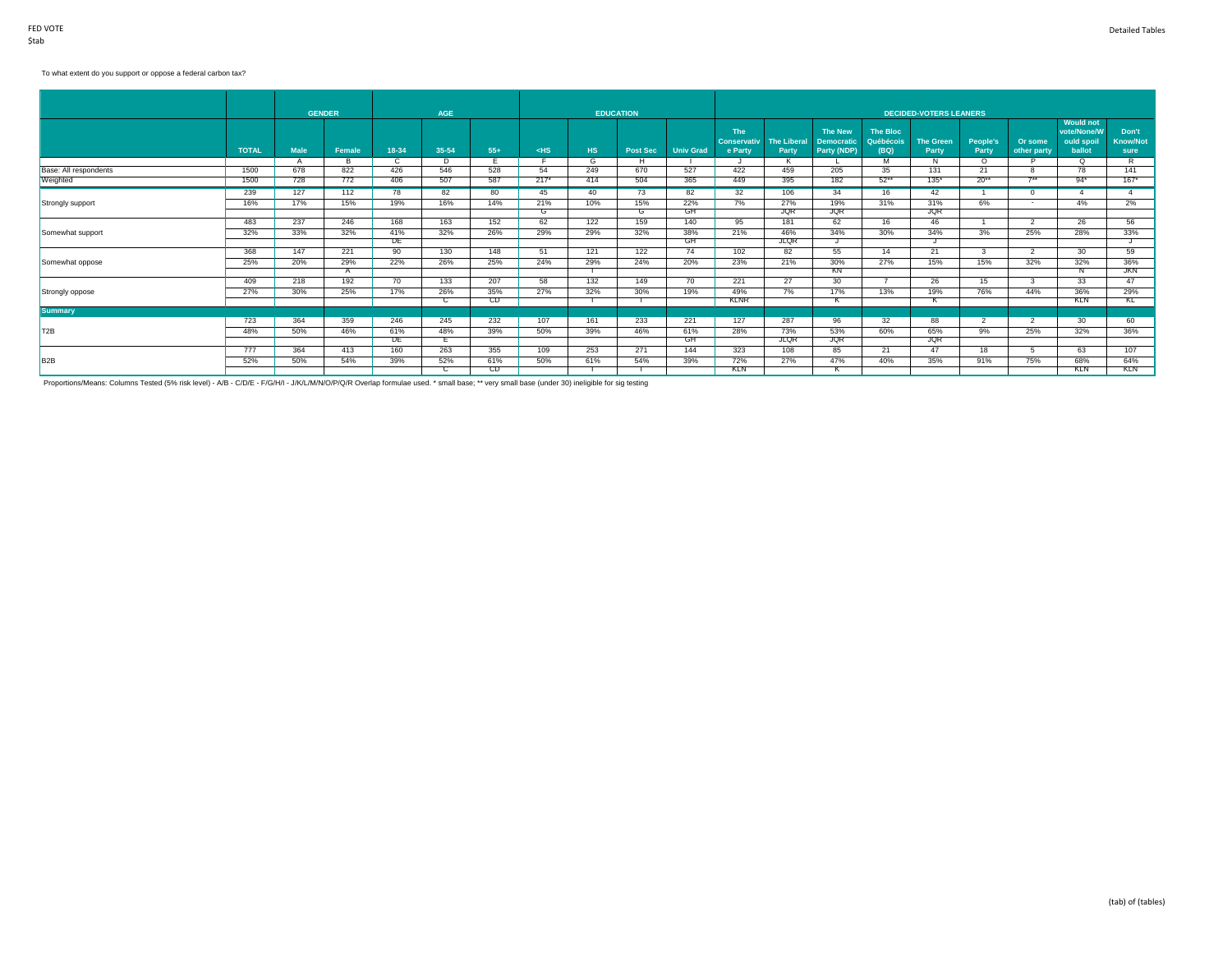#### To what extent do you support or oppose a federal carbon tax?

|                       |              | <b>GENDER</b> |        |           | <b>AGE</b> |            |        |           | <b>EDUCATION</b> |                  |                               |                             |                                  |                   | <b>DECIDED-VOTERS LEANERS</b> |                   |                          |                                 |                  |
|-----------------------|--------------|---------------|--------|-----------|------------|------------|--------|-----------|------------------|------------------|-------------------------------|-----------------------------|----------------------------------|-------------------|-------------------------------|-------------------|--------------------------|---------------------------------|------------------|
|                       |              |               |        |           |            |            |        |           |                  |                  | The                           |                             | <b>The New</b>                   | The Bloc          |                               |                   |                          | <b>Would not</b><br>vote/None/W | Don't            |
|                       | <b>TOTAL</b> | <b>Male</b>   | Female | 18-34     | 35-54      | $55+$      | $<$ HS | <b>HS</b> | <b>Post Sec</b>  | <b>Univ Grad</b> | <b>Conservativ</b><br>e Party | <b>The Liberal</b><br>Party | <b>Democratic</b><br>Party (NDP) | Québécois<br>(BQ) | <b>The Green</b><br>Party     | People's<br>Party | Or some<br>other party   | ould spoil<br>ballot            | Know/Not<br>sure |
|                       |              |               |        |           | D          |            |        | G         |                  |                  |                               | к                           |                                  | м                 | N                             | $\Omega$          |                          | O.                              | R                |
| Base: All respondents | 1500         | 678           | 822    | 426       | 546        | 528        | 54     | 249       | 670              | 527              | 422                           | 459                         | 205                              | 35                | 131                           | 21                |                          | 78                              | 141              |
| Weighted              | 1500         | 728           | 772    | 406       | 507        | 587        | $217*$ | 414       | 504              | 365              | 449                           | 395                         | 182                              | $52**$            | $135*$                        | $20**$            | $7**$                    | $94*$                           | $167*$           |
|                       | 239          | 127           | 112    | 78        | 82         | 80         | 45     | 40        | 73               | 82               | 32                            | 106                         | 34                               | 16                | 42                            |                   | $\Omega$                 |                                 |                  |
| Strongly support      | 16%          | 17%           | 15%    | 19%       | 16%        | 14%        | 21%    | 10%       | 15%              | 22%              | 7%                            | 27%                         | 19%                              | 31%               | 31%                           | 6%                | $\sim$                   | 4%                              | 2%               |
|                       |              |               |        |           |            |            | G      |           | G                | GH               |                               | <b>JQR</b>                  | <b>JQR</b>                       |                   | <b>JQR</b>                    |                   |                          |                                 |                  |
|                       | 483          | 237           | 246    | 168       | 163        | 152        | 62     | 122       | 159              | 140              | 95                            | 181                         | 62                               | 16                | 46                            |                   | $\overline{\phantom{a}}$ | 26                              | 56               |
| Somewhat support      | 32%          | 33%           | 32%    | 41%       | 32%        | 26%        | 29%    | 29%       | 32%              | 38%              | 21%                           | 46%                         | 34%                              | 30%               | 34%                           | 3%                | 25%                      | 28%                             | 33%              |
|                       |              |               |        | DF        |            |            |        |           |                  | GH               |                               | <b>JLQR</b>                 |                                  |                   |                               |                   |                          |                                 |                  |
|                       | 368          | 147           | 221    | 90        | 130        | 148        | 51     | 121       | 122              | 74               | 102                           | 82                          | 55                               | 14                | 21                            | 3                 | $\mathcal{P}$            | 30 <sup>2</sup>                 | 59               |
| Somewhat oppose       | 25%          | 20%           | 29%    | 22%       | 26%        | 25%        | 24%    | 29%       | 24%              | 20%              | 23%                           | 21%                         | 30%                              | 27%               | 15%                           | 15%               | 32%                      | 32%                             | 36%              |
|                       |              |               |        |           |            |            |        |           |                  |                  |                               |                             | KN                               |                   |                               |                   |                          |                                 | <b>JKN</b>       |
|                       | 409          | 218           | 192    | 70        | 133        | 207        | 58     | 132       | 149              | 70               | 221                           | 27                          | 30                               |                   | 26                            | 15                |                          | 33                              | 47               |
| Strongly oppose       | 27%          | 30%           | 25%    | 17%       | 26%        | 35%<br>CD. | 27%    | 32%       | 30%              | 19%              | 49%<br><b>KLNR</b>            | 7%                          | 17%                              | 13%               | 19%                           | 76%               | 44%                      | 36%<br><b>KLN</b>               | 29%              |
|                       |              |               |        |           | C.         |            |        |           |                  |                  |                               |                             | ҡ                                |                   | ĸ                             |                   |                          |                                 | KL               |
| <b>Summary</b>        | 723          | 364           | 359    | 246       | 245        | 232        | 107    | 161       | 233              | 221              | 127                           | 287                         | 96                               | 32                | 88                            | $\mathcal{P}$     | $\overline{2}$           | 30 <sup>2</sup>                 | 60               |
|                       |              |               |        |           |            |            |        |           |                  |                  |                               |                             |                                  |                   |                               |                   |                          |                                 |                  |
| T <sub>2B</sub>       | 48%          | 50%           | 46%    | 61%<br>DE | 48%        | 39%        | 50%    | 39%       | 46%              | 61%<br>GH        | 28%                           | 73%<br><b>JLQR</b>          | 53%<br><b>JQR</b>                | 60%               | 65%<br><b>JQR</b>             | 9%                | 25%                      | 32%                             | 36%              |
|                       | 777          | 364           | 413    | 160       | 263        | 355        | 109    | 253       | 271              | 144              | 323                           | 108                         | 85                               | 21                | 47                            | 18                |                          | 63                              | 107              |
| B <sub>2</sub> B      | 52%          | 50%           | 54%    | 39%       | 52%        | 61%        | 50%    | 61%       | 54%              | 39%              | 72%                           | 27%                         | 47%                              | 40%               | 35%                           | 91%               | 75%                      | 68%                             | 64%              |
|                       |              |               |        |           |            | CD         |        |           |                  |                  | <b>KLN</b>                    |                             |                                  |                   |                               |                   |                          | <b>KLN</b>                      | <b>KLN</b>       |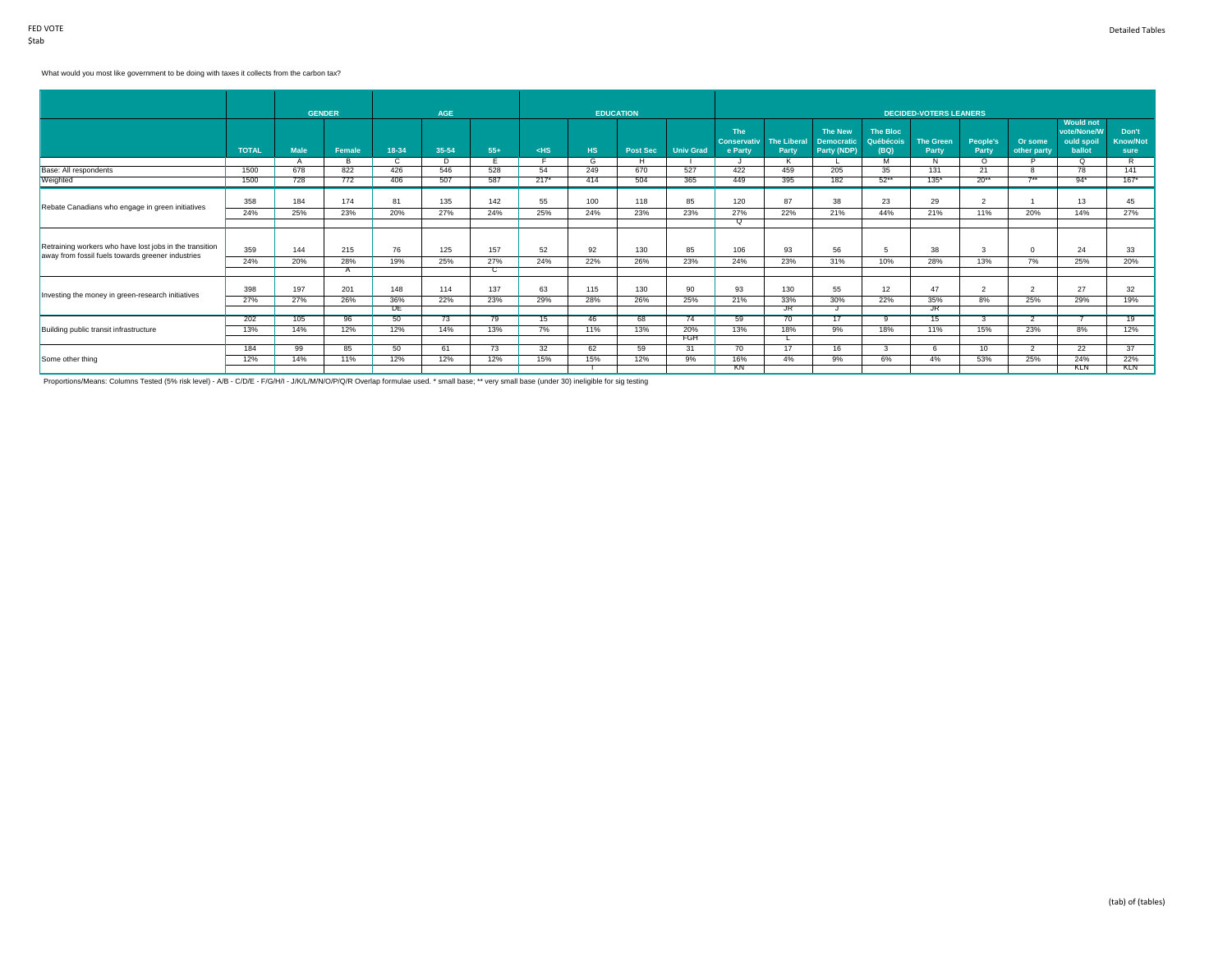# What would you most like government to be doing with taxes it collects from the carbon tax?

|                                                         |              |             | <b>GENDER</b> |           | <b>AGE</b> |       |        |           | <b>EDUCATION</b> |                  |                               |                             |                                  |                   | <b>DECIDED-VOTERS LEANERS</b> |                   |                        |                                 |                         |
|---------------------------------------------------------|--------------|-------------|---------------|-----------|------------|-------|--------|-----------|------------------|------------------|-------------------------------|-----------------------------|----------------------------------|-------------------|-------------------------------|-------------------|------------------------|---------------------------------|-------------------------|
|                                                         |              |             |               |           |            |       |        |           |                  |                  | The                           |                             | <b>The New</b>                   | <b>The Bloc</b>   |                               |                   |                        | <b>Would not</b><br>vote/None/W | Don't                   |
|                                                         | <b>TOTAL</b> | <b>Male</b> | Female        | 18-34     | 35-54      | $55+$ | $<$ HS | <b>HS</b> | Post Sec         | <b>Univ Grad</b> | <b>Conservativ</b><br>e Party | <b>The Liberal</b><br>Party | <b>Democratic</b><br>Party (NDP) | Québécois<br>(BQ) | <b>The Green</b><br>Party     | People's<br>Party | Or some<br>other party | ould spoil<br>ballot            | <b>Know/Not</b><br>sure |
|                                                         |              |             | B             | C.        | D          |       |        | G         | н                |                  |                               |                             |                                  | M                 | Ñ                             | $\Omega$          |                        | O                               | R                       |
| Base: All respondents                                   | 1500         | 678         | 822           | 426       | 546        | 528   | 54     | 249       | 670              | 527              | 422                           | 459                         | 205                              | 35                | 131                           | 21                |                        | 78                              | 141                     |
| Weighted                                                | 1500         | 728         | 772           | 406       | 507        | 587   | $217*$ | 414       | 504              | 365              | 449                           | 395                         | 182                              | $52**$            | $135*$                        | $20**$            | $7**$                  | $94*$                           | $167*$                  |
| Rebate Canadians who engage in green initiatives        | 358          | 184         | 174           | 81        | 135        | 142   | 55     | 100       | 118              | 85               | 120                           | 87                          | 38                               | 23                | 29                            | $\overline{2}$    |                        | 13                              | 45                      |
|                                                         | 24%          | 25%         | 23%           | 20%       | 27%        | 24%   | 25%    | 24%       | 23%              | 23%              | 27%                           | 22%                         | 21%                              | 44%               | 21%                           | 11%               | 20%                    | 14%                             | 27%                     |
|                                                         |              |             |               |           |            |       |        |           |                  |                  | O.                            |                             |                                  |                   |                               |                   |                        |                                 |                         |
| Retraining workers who have lost jobs in the transition | 359          | 144         | 215           | 76        | 125        | 157   | 52     | 92        | 130              | 85               | 106                           | 93                          | 56                               | 5                 | 38                            | 3                 | $\mathbf{0}$           | 24                              | 33                      |
| away from fossil fuels towards greener industries       | 24%          | 20%         | 28%           | 19%       | 25%        | 27%   | 24%    | 22%       | 26%              | 23%              | 24%                           | 23%                         | 31%                              | 10%               | 28%                           | 13%               | 7%                     | 25%                             | 20%                     |
|                                                         |              |             |               |           |            | С     |        |           |                  |                  |                               |                             |                                  |                   |                               |                   |                        |                                 |                         |
| Investing the money in green-research initiatives       | 398          | 197         | 201           | 148       | 114        | 137   | 63     | 115       | 130              | 90               | 93                            | 130                         | 55                               | 12                | 47                            | $\overline{2}$    | $\overline{2}$         | 27                              | 32                      |
|                                                         | 27%          | 27%         | 26%           | 36%       | 22%        | 23%   | 29%    | 28%       | 26%              | 25%              | 21%                           | 33%                         | 30%                              | 22%               | 35%                           | 8%                | 25%                    | 29%                             | 19%                     |
|                                                         |              |             |               | <b>DE</b> |            |       |        |           |                  |                  |                               | $\overline{\text{JR}}$      |                                  |                   | JR                            |                   |                        |                                 |                         |
|                                                         | 202          | 105         | 96            | 50        | 73         | 79    | 15     | 46        | 68               | 74               | 59                            | 70                          | 17                               | ۰Q                | 15                            | 3                 |                        |                                 | $\overline{19}$         |
| Building public transit infrastructure                  | 13%          | 14%         | 12%           | 12%       | 14%        | 13%   | 7%     | 11%       | 13%              | 20%              | 13%                           | 18%                         | 9%                               | 18%               | 11%                           | 15%               | 23%                    | 8%                              | 12%                     |
|                                                         |              |             |               |           |            |       |        |           |                  | FGH              |                               |                             |                                  |                   |                               |                   |                        |                                 |                         |
|                                                         | 184          | 99          | 85            | 50        | 61         | 73    | 32     | 62        | 59               | 31               | 70                            | 17                          | 16                               |                   | 6                             | 10                | -2                     | 22                              | 37                      |
| Some other thing                                        | 12%          | 14%         | 11%           | 12%       | 12%        | 12%   | 15%    | 15%       | 12%              | 9%               | 16%                           | 4%                          | 9%                               | 6%                | 4%                            | 53%               | 25%                    | 24%                             | 22%                     |
|                                                         |              |             |               |           |            |       |        |           |                  |                  | KN                            |                             |                                  |                   |                               |                   |                        | <b>KLN</b>                      | <b>KLN</b>              |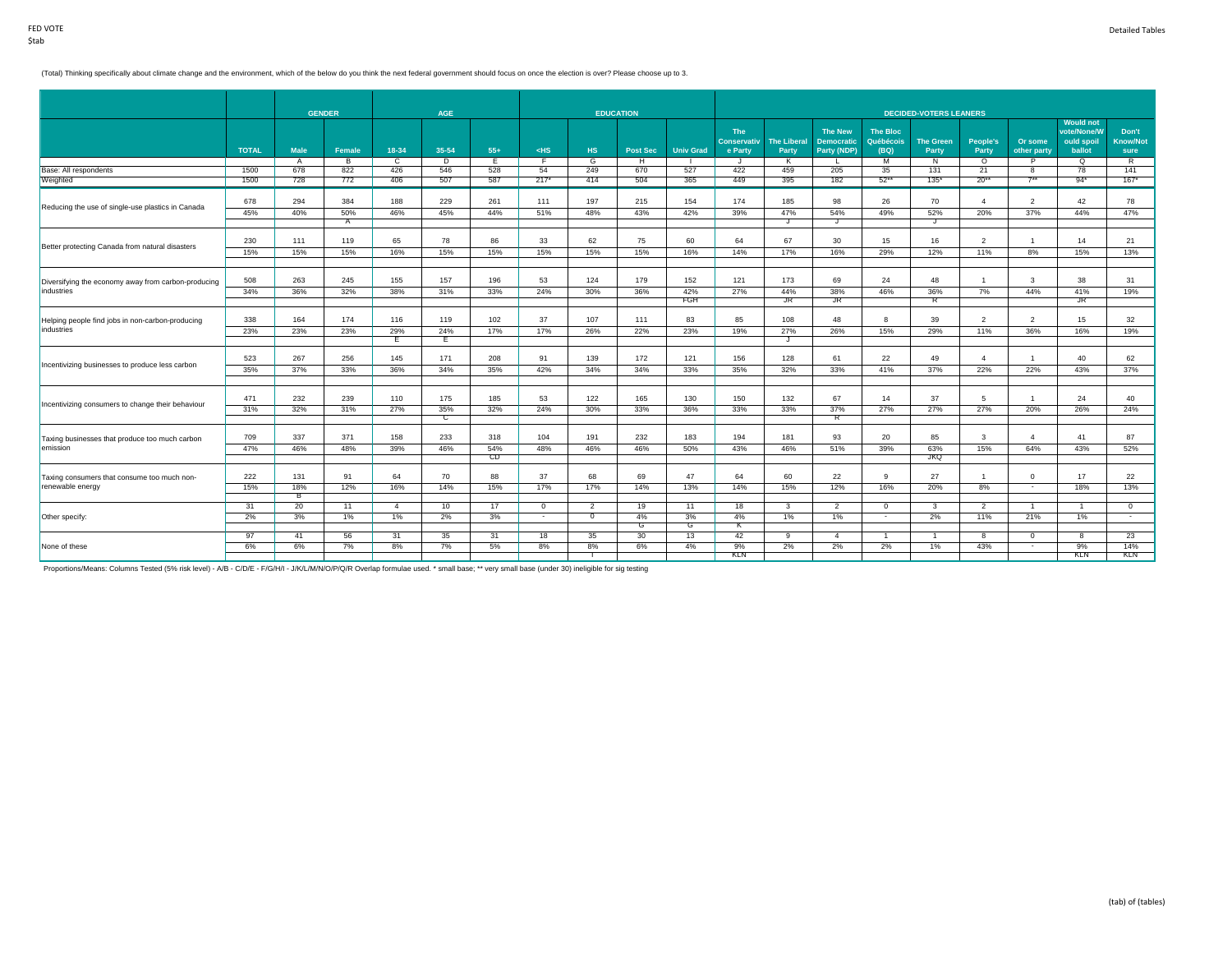#### (Total) Thinking specifically about climate change and the environment, which of the below do you think the next federal government should focus on once the election is over? Please choose up to 3.

|                                                     |              |             | <b>GENDER</b> |                | <b>AGE</b>     |           |            |                | <b>EDUCATION</b> |                  |                                             |                             |                                                    |                                      | <b>DECIDED-VOTERS LEANERS</b>    |                          |                        |                                                         |                                  |
|-----------------------------------------------------|--------------|-------------|---------------|----------------|----------------|-----------|------------|----------------|------------------|------------------|---------------------------------------------|-----------------------------|----------------------------------------------------|--------------------------------------|----------------------------------|--------------------------|------------------------|---------------------------------------------------------|----------------------------------|
|                                                     | <b>TOTAL</b> | <b>Male</b> | Female        | 18-34          | 35-54          | $55+$     | $<$ HS     | <b>HS</b>      | <b>Post Sec</b>  | <b>Univ Grad</b> | <b>The</b><br><b>Conservativ</b><br>e Party | <b>The Liberal</b><br>Party | <b>The New</b><br><b>Democratic</b><br>Party (NDP) | <b>The Bloc</b><br>Québécois<br>(BQ) | <b>The Green</b><br><b>Party</b> | <b>People's</b><br>Party | Or some<br>other party | <b>Would not</b><br>vote/None/W<br>ould spoil<br>ballot | Don't<br><b>Know/Not</b><br>sure |
|                                                     |              | A           | B             | $\mathbf{c}$   | D              | Έ         | F          | $\overline{G}$ | H                |                  | J                                           | K                           |                                                    | M                                    | N                                | $\circ$                  |                        | ಂ                                                       | R                                |
| Base: All respondents                               | 1500         | 678         | 822           | 426            | 546            | 528       | 54         | 249            | 670              | 527              | 422                                         | 459                         | 205                                                | 35                                   | 131                              | 21                       | 8                      | 78                                                      | 141                              |
| Weighted                                            | 1500         | 728         | 772           | 406            | 507            | 587       | $217*$     | 414            | 504              | 365              | 449                                         | 395                         | 182                                                | $52**$                               | $135*$                           | $20**$                   | $7**$                  | $94*$                                                   | $167*$                           |
| Reducing the use of single-use plastics in Canada   | 678          | 294         | 384           | 188            | 229            | 261       | 111        | 197            | 215              | 154              | 174                                         | 185                         | 98                                                 | 26                                   | 70                               | $\overline{4}$           | $\overline{2}$         | 42                                                      | 78                               |
|                                                     | 45%          | 40%         | 50%           | 46%            | 45%            | 44%       | 51%        | 48%            | 43%              | 42%              | 39%                                         | 47%                         | 54%                                                | 49%                                  | 52%                              | 20%                      | 37%                    | 44%                                                     | 47%                              |
|                                                     |              |             | A             |                |                |           |            |                |                  |                  |                                             | J                           | J                                                  |                                      | J                                |                          |                        |                                                         |                                  |
| Better protecting Canada from natural disasters     | 230          | 111         | 119           | 65             | 78             | 86        | 33         | 62             | 75               | 60               | 64                                          | 67                          | 30                                                 | 15                                   | 16                               | $\overline{2}$           |                        | 14                                                      | 21                               |
|                                                     | 15%          | 15%         | 15%           | 16%            | 15%            | 15%       | 15%        | 15%            | 15%              | 16%              | 14%                                         | 17%                         | 16%                                                | 29%                                  | 12%                              | 11%                      | 8%                     | 15%                                                     | 13%                              |
| Diversifying the economy away from carbon-producing | 508          | 263         | 245           | 155            | 157            | 196       | 53         | 124            | 179              | 152              | 121                                         | 173                         | 69                                                 | 24                                   | 48                               | $\overline{1}$           | 3                      | 38                                                      | 31                               |
| industries                                          | 34%          | 36%         | 32%           | 38%            | 31%            | 33%       | 24%        | 30%            | 36%              | 42%              | 27%                                         | 44%                         | 38%                                                | 46%                                  | 36%                              | 7%                       | 44%                    | 41%                                                     | 19%                              |
|                                                     |              |             |               |                |                |           |            |                |                  | FGH              |                                             | JR                          | JR                                                 |                                      | R                                |                          |                        | JR.                                                     |                                  |
| Helping people find jobs in non-carbon-producing    | 338          | 164         | 174           | 116            | 119            | 102       | 37         | 107            | 111              | 83               | 85                                          | 108                         | 48                                                 | 8                                    | 39                               | $\overline{2}$           | $\overline{2}$         | 15                                                      | 32                               |
| industries                                          | 23%          | 23%         | 23%           | 29%            | 24%            | 17%       | 17%        | 26%            | 22%              | 23%              | 19%                                         | 27%                         | 26%                                                | 15%                                  | 29%                              | 11%                      | 36%                    | 16%                                                     | 19%                              |
|                                                     |              |             |               | Е              | Έ              |           |            |                |                  |                  |                                             | J                           |                                                    |                                      |                                  |                          |                        |                                                         |                                  |
| Incentivizing businesses to produce less carbon     | 523          | 267         | 256           | 145            | 171            | 208       | 91         | 139            | 172              | 121              | 156                                         | 128                         | 61                                                 | 22                                   | 49                               | $\overline{4}$           |                        | 40                                                      | 62                               |
|                                                     | 35%          | 37%         | 33%           | 36%            | 34%            | 35%       | 42%        | 34%            | 34%              | 33%              | 35%                                         | 32%                         | 33%                                                | 41%                                  | 37%                              | 22%                      | 22%                    | 43%                                                     | 37%                              |
|                                                     |              |             |               |                |                |           |            |                |                  |                  |                                             |                             |                                                    |                                      |                                  |                          |                        |                                                         |                                  |
| Incentivizing consumers to change their behaviour   | 471          | 232         | 239           | 110            | 175            | 185       | 53         | 122            | 165              | 130              | 150                                         | 132                         | 67                                                 | 14                                   | 37                               | 5                        |                        | 24                                                      | 40                               |
|                                                     | 31%          | 32%         | 31%           | 27%            | 35%            | 32%       | 24%        | 30%            | 33%              | 36%              | 33%                                         | 33%                         | 37%                                                | 27%                                  | 27%                              | 27%                      | 20%                    | 26%                                                     | 24%                              |
|                                                     |              |             |               |                | $\overline{c}$ |           |            |                |                  |                  |                                             |                             | R                                                  |                                      |                                  |                          |                        |                                                         |                                  |
| Taxing businesses that produce too much carbon      | 709          | 337         | 371           | 158            | 233            | 318       | 104        | 191            | 232              | 183              | 194                                         | 181                         | 93                                                 | 20                                   | 85                               | 3                        | $\overline{4}$         | 41                                                      | 87                               |
| emission                                            | 47%          | 46%         | 48%           | 39%            | 46%            | 54%<br>CD | 48%        | 46%            | 46%              | 50%              | 43%                                         | 46%                         | 51%                                                | 39%                                  | 63%<br><b>JKQ</b>                | 15%                      | 64%                    | 43%                                                     | 52%                              |
|                                                     |              |             |               |                |                |           |            |                |                  |                  |                                             |                             |                                                    |                                      |                                  |                          |                        |                                                         |                                  |
| Taxing consumers that consume too much non-         | 222          | 131         | 91            | 64             | 70             | 88        | 37         | 68             | 69               | 47               | 64                                          | 60                          | 22                                                 | 9                                    | 27                               | $\overline{1}$           | $\mathbf 0$            | 17                                                      | 22                               |
| renewable energy                                    | 15%          | 18%<br>в    | 12%           | 16%            | 14%            | 15%       | 17%        | 17%            | 14%              | 13%              | 14%                                         | 15%                         | 12%                                                | 16%                                  | 20%                              | 8%                       | $\sim$                 | 18%                                                     | 13%                              |
|                                                     | 31           | 20          | 11            | $\overline{4}$ | 10             | 17        | $^{\circ}$ | 2              | 19               | 11               | 18                                          | 3                           | $\overline{2}$                                     | $^{\circ}$                           | 3                                | $\overline{2}$           |                        |                                                         | $\overline{0}$                   |
| Other specify:                                      | 2%           | 3%          | 1%            | 1%             | 2%             | 3%        | $\sim$     | $\overline{0}$ | 4%               | 3%               | 4%                                          | 1%                          | 1%                                                 | $\sim$                               | 2%                               | 11%                      | 21%                    | $1\%$                                                   | $\sim$                           |
|                                                     |              |             |               |                |                |           |            |                | G                | G                | к                                           |                             |                                                    |                                      |                                  |                          |                        |                                                         |                                  |
|                                                     | 97           | 41          | 56            | 31             | 35             | 31        | 18         | 35             | 30               | 13               | 42                                          | 9                           | $\overline{4}$                                     |                                      |                                  | 8                        | $\overline{0}$         | 8                                                       | 23                               |
| None of these                                       | 6%           | 6%          | 7%            | 8%             | 7%             | 5%        | 8%         | 8%             | 6%               | 4%               | 9%                                          | 2%                          | 2%                                                 | 2%                                   | 1%                               | 43%                      | $\sim$                 | 9%                                                      | 14%                              |
|                                                     |              |             |               |                |                |           |            |                |                  |                  | KLN                                         |                             |                                                    |                                      |                                  |                          |                        | KLN                                                     | KLN                              |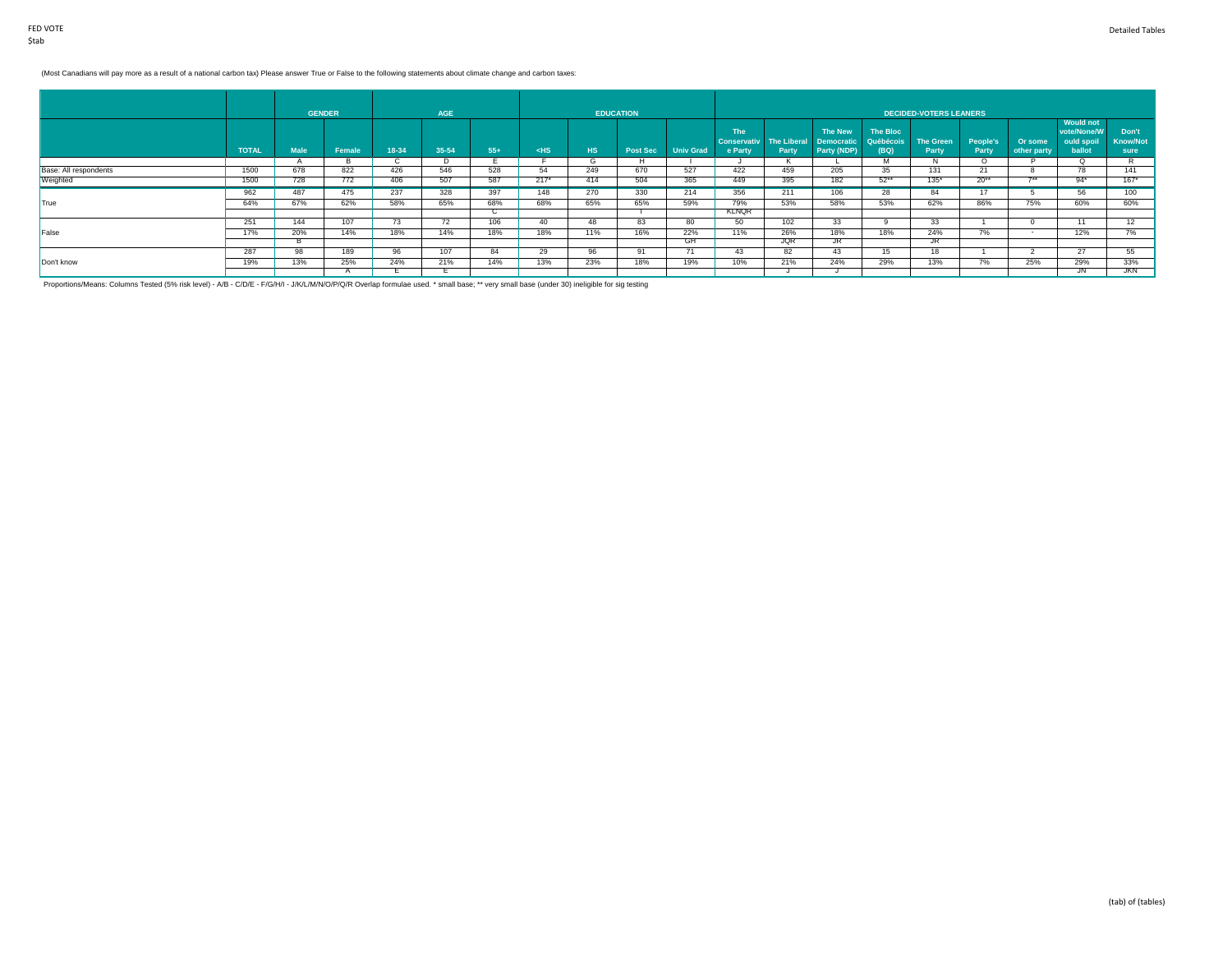# (Most Canadians will pay more as a result of a national carbon tax) Please answer True or False to the following statements about climate change and carbon taxes:

|                       |              |             | <b>GENDER</b> |       | <b>AGE</b> |       |        |              | <b>EDUCATION</b> |                  |                                      |                             |                                             |                               | <b>DECIDED-VOTERS LEANERS</b> |                   |                        |                                                         |                                  |
|-----------------------|--------------|-------------|---------------|-------|------------|-------|--------|--------------|------------------|------------------|--------------------------------------|-----------------------------|---------------------------------------------|-------------------------------|-------------------------------|-------------------|------------------------|---------------------------------------------------------|----------------------------------|
|                       | <b>TOTAL</b> | <b>Male</b> | Female        | 18-34 | 35-54      | $55+$ | $<$ HS | HS.          | <b>Post Sec</b>  | <b>Univ Grad</b> | The<br><b>Conservativ</b><br>e Party | <b>The Liberal</b><br>Party | The New<br><b>Democratic</b><br>Party (NDP) | The Bloc<br>Québécois<br>(BQ) | <b>The Green</b><br>Party     | People's<br>Party | Or some<br>other party | <b>Would not</b><br>vote/None/W<br>ould spoil<br>ballot | Don't<br><b>Know/Not</b><br>sure |
|                       |              |             | - 15          | ◡     | $\cup$     |       |        | $\mathbf{G}$ | н.               |                  |                                      |                             |                                             | м                             | $\mathbf{N}$                  | $\circ$           |                        | Q                                                       |                                  |
| Base: All respondents | 1500         | 678         | 822           | 426   | 546        | 528   | 54     | 249          | 670              | 527              | 422                                  | 459                         | 205                                         | 35                            | 131                           | 21                | - 6                    | 78                                                      | 141                              |
| Weighted              | 1500         | 728         | 772           | 406   | 507        | 587   | $217*$ | 414          | 504              | 365              | 449                                  | 395                         | 182                                         | $52***$                       | $135*$                        | $20**$            | $7 + 4$                | $94*$                                                   | $167*$                           |
|                       | 962          | 487         | 475           | 237   | 328        | 397   | 148    | 270          | 330              | 214              | 356                                  | 211                         | 106                                         | 28                            | 84                            | 17                |                        | 56                                                      | 100                              |
| True                  | 64%          | 67%         | 62%           | 58%   | 65%        | 68%   | 68%    | 65%          | 65%              | 59%              | 79%                                  | 53%                         | 58%                                         | 53%                           | 62%                           | 86%               | 75%                    | 60%                                                     | 60%                              |
|                       |              |             |               |       |            | ◡     |        |              |                  |                  | <b>KLNOR</b>                         |                             |                                             |                               |                               |                   |                        |                                                         |                                  |
|                       | 251          | 144         | 107           | 73    | 72         | 106   | 40     | 48           | 83               | 80               | 50                                   | 102                         | 33                                          |                               | 33 <sup>2</sup>               |                   |                        | 11                                                      | 12                               |
| False                 | 17%          | 20%         | 14%           | 18%   | 14%        | 18%   | 18%    | 11%          | 16%              | 22%              | 11%                                  | 26%                         | 18%                                         | 18%                           | 24%                           | 7%                |                        | 12%                                                     | 70I                              |
|                       |              |             |               |       |            |       |        |              |                  | GH               |                                      | <b>JQR</b>                  | JR                                          |                               | JR.                           |                   |                        |                                                         |                                  |
|                       | 287          | 98          | 189           | 96    | 107        | 84    | 29     | 96           | 91               |                  | 43                                   | 82                          | 43                                          | 15                            | 18                            |                   | -                      | 27                                                      | 55                               |
| Don't know            | 19%          | 13%         | 25%           | 24%   | 21%        | 14%   | 13%    | 23%          | 18%              | 19%              | 10%                                  | 21%                         | 24%                                         | 29%                           | 13%                           | 7%                | 25%                    | 29%                                                     | 33%                              |
|                       |              |             |               |       |            |       |        |              |                  |                  |                                      |                             |                                             |                               |                               |                   |                        | JN                                                      | <b>JKN</b>                       |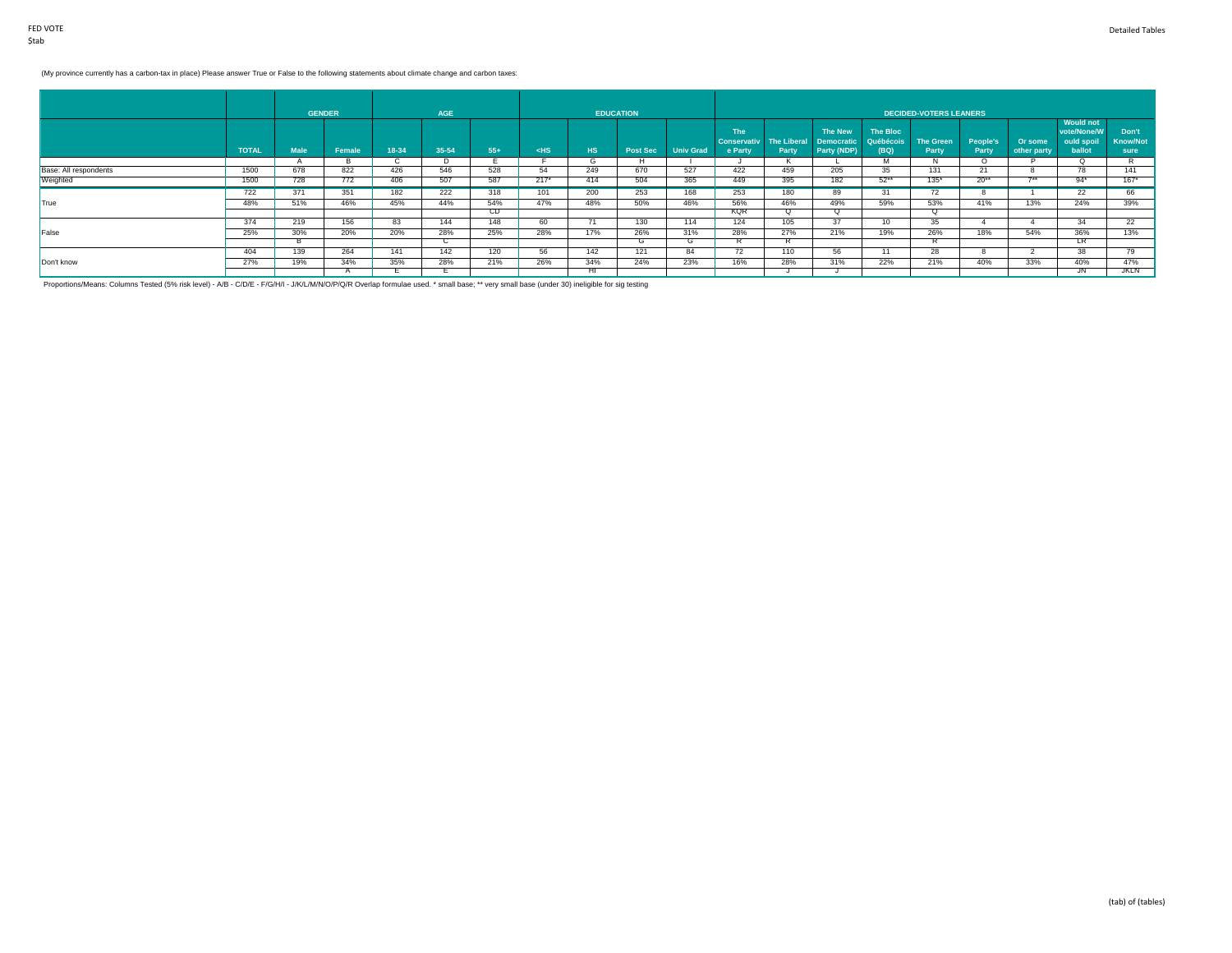# (My province currently has a carbon-tax in place) Please answer True or False to the following statements about climate change and carbon taxes:

|                       |              |             | <b>GENDER</b> |       | AGE   |           |        |            | <b>EDUCATION</b> |                  |                                             |                             |                                             |                               | DECIDED-VOTERS LEANERS    |                   |                        |                                                         |                                  |
|-----------------------|--------------|-------------|---------------|-------|-------|-----------|--------|------------|------------------|------------------|---------------------------------------------|-----------------------------|---------------------------------------------|-------------------------------|---------------------------|-------------------|------------------------|---------------------------------------------------------|----------------------------------|
|                       | <b>TOTAL</b> | <b>Male</b> | Female        | 18-34 | 35-54 | $55+$     | $<$ HS | <b>THS</b> | <b>Post Sec</b>  | <b>Univ Grad</b> | <b>The</b><br><b>Conservativ</b><br>e Party | <b>The Liberal</b><br>Party | The New<br><b>Democratic</b><br>Party (NDP) | The Bloc<br>Québécois<br>(BQ) | <b>The Green</b><br>Party | People's<br>Party | Or some<br>other party | <b>Would not</b><br>vote/None/W<br>ould spoil<br>ballot | Don't<br><b>Know/Not</b><br>sure |
|                       |              |             |               |       |       |           |        | G          |                  |                  |                                             |                             |                                             |                               |                           |                   |                        |                                                         |                                  |
| Base: All respondents | 1500         | 678         | 822           | 426   | 546   | 528       | 54     | 249        | 670              | 527              | 422                                         | 459                         | 205                                         | -35                           | 131                       | 21                |                        | 78                                                      | 141                              |
| Weighted              | 1500         | 728         | 772           | 406   | 507   | 587       | $217*$ | 414        | 504              | 365              | 449                                         | 395                         | 182                                         | $52***$                       | $135*$                    | $20**$            | $7 + 1$                | $94*$                                                   | $167*$                           |
|                       | 722          | 371         | 351           | 182   | 222   | 318       | 101    | 200        | 253              | 168              | 253                                         | 180                         | 89                                          |                               | 72                        |                   |                        | 22                                                      | 66                               |
| True                  | 48%          | 51%         | 46%           | 45%   | 44%   | 54%       | 47%    | 48%        | 50%              | 46%              | 56%                                         | 46%                         | 49%                                         | 59%                           | 53%                       | 41%               | 13%                    | 24%                                                     | 39%                              |
|                       |              |             |               |       |       | <b>CD</b> |        |            |                  |                  | <b>KQR</b>                                  | Q                           | Q                                           |                               | Q                         |                   |                        |                                                         |                                  |
|                       | 374          | 219         | 156           | 83    | 144   | 148       | 60     | 71         | 130              | 114              | 124                                         | 105                         | 37                                          | 10                            | 35 <sup>5</sup>           |                   |                        | 34                                                      | 22                               |
| False                 | 25%          | 30%         | 20%           | 20%   | 28%   | 25%       | 28%    | 17%        | 26%              | 31%              | 28%                                         | 27%                         | 21%                                         | 19%                           | 26%                       | 18%               | 54%                    | 36%                                                     | 13%                              |
|                       |              |             |               |       | ◡     |           |        |            | G                | $\sim$           |                                             |                             |                                             |                               |                           |                   |                        | LR                                                      |                                  |
|                       | 404          | 139         | 264           | 141   | 142   | 120       | 56     | 142        | 121              | 84               | 72                                          | 110                         | 56                                          |                               | 28                        | 8                 |                        | 38                                                      | 79                               |
| Don't know            | 27%          | 19%         | 34%           | 35%   | 28%   | 21%       | 26%    | 34%        | 24%              | 23%              | 16%                                         | 28%                         | 31%                                         | 22%                           | 21%                       | 40%               | 33%                    | 40%                                                     | 47%                              |
|                       |              |             |               |       |       |           |        |            |                  |                  |                                             |                             |                                             |                               |                           |                   |                        | JN                                                      | <b>JKLN</b>                      |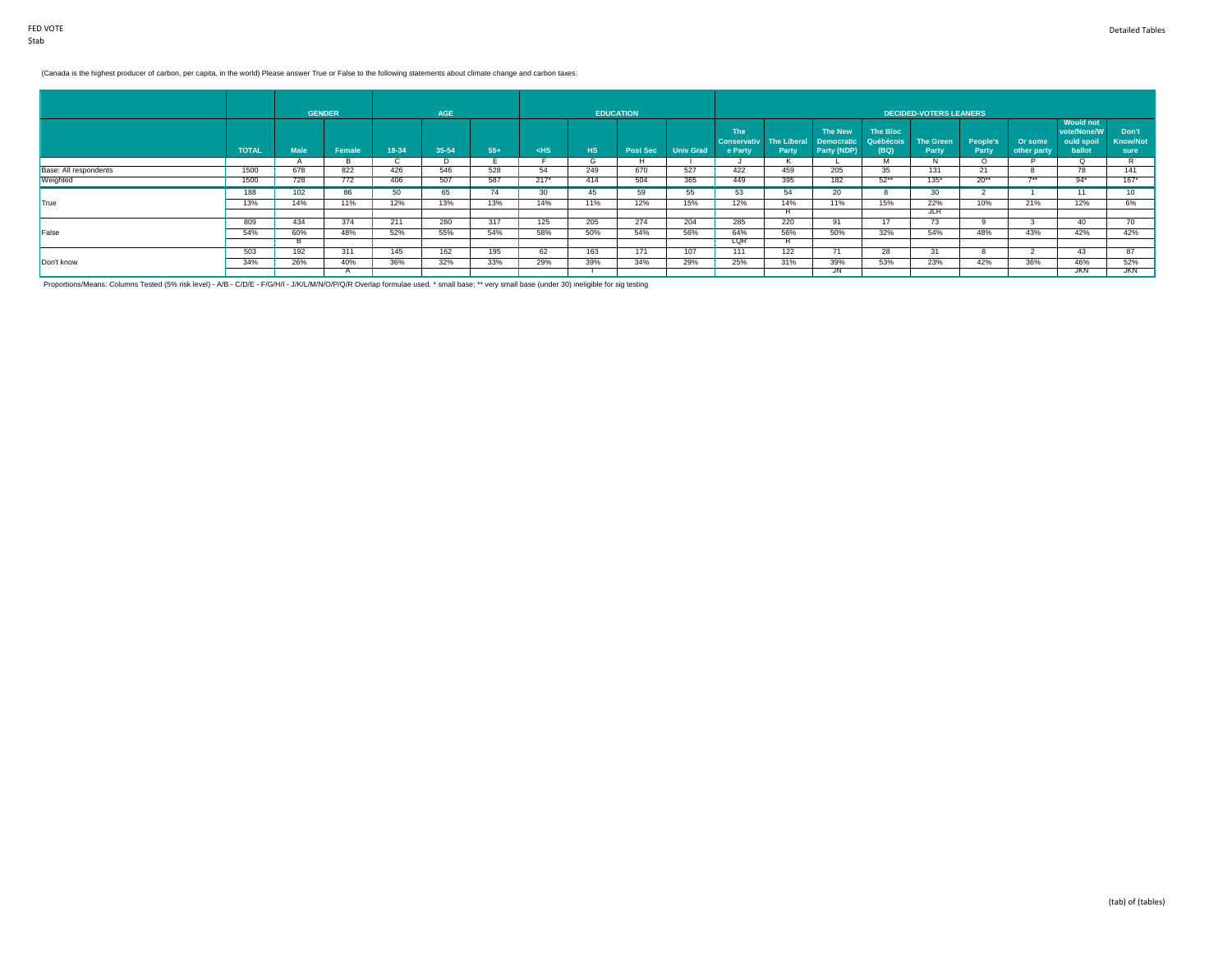# (Canada is the highest producer of carbon, per capita, in the world) Please answer True or False to the following statements about climate change and carbon taxes:

|                       |              |             | <b>GENDER</b> |       | AGE   |       |        |            | <b>EDUCATION</b> |                  |                                             |                             |                              |                       | DECIDED-VOTERS LEANERS |                   |             |                                                         |                          |
|-----------------------|--------------|-------------|---------------|-------|-------|-------|--------|------------|------------------|------------------|---------------------------------------------|-----------------------------|------------------------------|-----------------------|------------------------|-------------------|-------------|---------------------------------------------------------|--------------------------|
|                       | <b>TOTAL</b> | <b>Male</b> | Female        | 18-34 | 35-54 | $55+$ | $<$ HS | <b>THS</b> |                  | <b>Univ Grad</b> | <b>The</b><br><b>Conservativ</b><br>e Party | <b>The Liberal</b><br>Party | The New<br><b>Democratic</b> | The Bloc<br>Québécois | <b>The Green</b>       | People's<br>Party | Or some     | <b>Would not</b><br>vote/None/W<br>ould spoil<br>ballot | Don't<br><b>Know/Not</b> |
|                       |              |             |               |       |       |       |        |            | <b>Post Sec</b>  |                  |                                             |                             | Party (NDP)                  | (BQ)                  | Party                  |                   | other party |                                                         | sure                     |
|                       |              |             |               |       |       |       |        | G          |                  |                  |                                             |                             |                              |                       |                        |                   |             |                                                         |                          |
| Base: All respondents | 1500         | 678         | 822           | 426   | 546   | 528   | 54     | 249        | 670              | 527              | 422                                         | 459                         | 205                          | -35                   | 131                    | 21                |             | 78                                                      | 141                      |
| Weighted              | 1500         | 728         | 772           | 406   | 507   | 587   | $217*$ | 414        | 504              | 365              | 449                                         | 395                         | 182                          | $52***$               | $135*$                 | $20**$            | $7 + 1$     | $94*$                                                   | $167*$                   |
|                       | 188          | 102         | 86            | 50    | 65    | 74    | 30     | 45         | 59               | 55               | 53                                          | 54                          | 20                           |                       | 30                     |                   |             | 11                                                      | 10 <sup>1</sup>          |
| True                  | 13%          | 14%         | 11%           | 12%   | 13%   | 13%   | 14%    | 11%        | 12%              | 15%              | 12%                                         | 14%                         | 11%                          | 15%                   | 22%                    | 10%               | 21%         | 12%                                                     | 6%                       |
|                       |              |             |               |       |       |       |        |            |                  |                  |                                             | в.                          |                              |                       | <b>JLR</b>             |                   |             |                                                         |                          |
|                       | 809          | 434         | 374           | 211   | 280   | 317   | 125    | 205        | 274              | 204              | 285                                         | 220                         | 91                           | $4 -$                 | 73                     |                   |             | 40                                                      | 70                       |
| False                 | 54%          | 60%         | 48%           | 52%   | 55%   | 54%   | 58%    | 50%        | 54%              | 56%              | 64%                                         | 56%                         | 50%                          | 32%                   | 54%                    | 48%               | 43%         | 42%                                                     | 42%                      |
|                       |              |             |               |       |       |       |        |            |                  |                  | LQR                                         |                             |                              |                       |                        |                   |             |                                                         |                          |
|                       | 503          | 192         | 311           | 145   | 162   | 195   | 62     | 163        | 171              | 107              | 111                                         | 122                         | $\sqrt{1}$                   | 28                    | 31                     | 8                 |             | 43                                                      | $\Omega$                 |
| Don't know            | 34%          | 26%         | 40%           | 36%   | 32%   | 33%   | 29%    | 39%        | 34%              | 29%              | 25%                                         | 31%                         | 39%                          | 53%                   | 23%                    | 42%               | 36%         | 46%                                                     | 52%                      |
|                       |              |             |               |       |       |       |        |            |                  |                  |                                             |                             |                              |                       |                        |                   |             | <b>JKN</b>                                              | <b>JKN</b>               |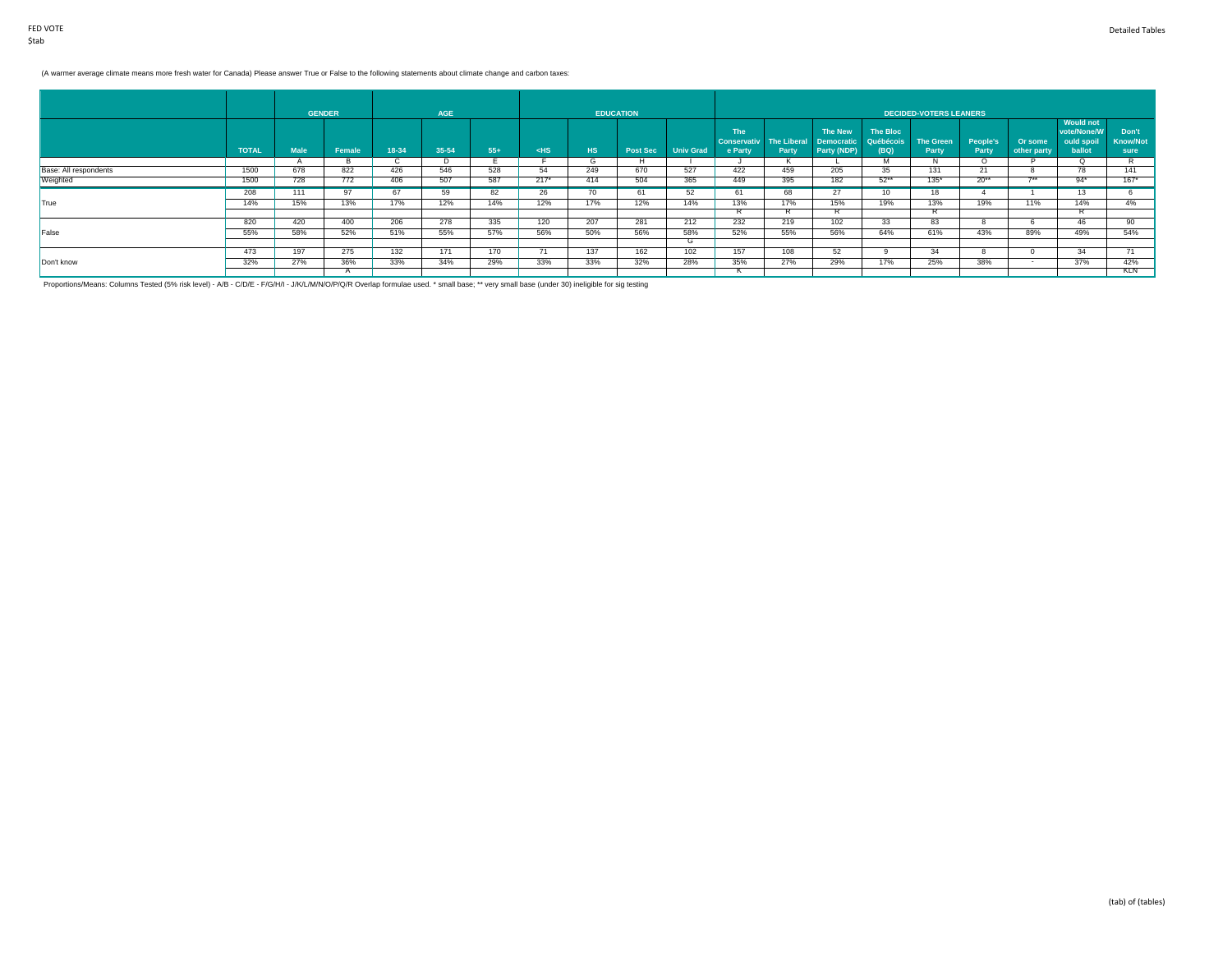# (A warmer average climate means more fresh water for Canada) Please answer True or False to the following statements about climate change and carbon taxes:

|                       |              |                | <b>GENDER</b> |       | <b>AGE</b> |       |        |     | <b>EDUCATION</b> |                  |                               |       |                                       |                   | <b>DECIDED-VOTERS LEANERS</b> |                   |                        |                                 |                         |
|-----------------------|--------------|----------------|---------------|-------|------------|-------|--------|-----|------------------|------------------|-------------------------------|-------|---------------------------------------|-------------------|-------------------------------|-------------------|------------------------|---------------------------------|-------------------------|
|                       |              |                |               |       |            |       |        |     |                  |                  | <b>The</b>                    |       | The New                               | The Bloc          |                               |                   |                        | <b>Would not</b><br>vote/None/W | Don't                   |
|                       | <b>TOTAL</b> | <b>Male</b>    | Female        | 18-34 | $35 - 54$  | $55+$ | $<$ HS | HS. | <b>Post Sec</b>  | <b>Univ Grad</b> | <b>Conservativ</b><br>e Party | Party | The Liberal Democratic<br>Party (NDP) | Québécois<br>(BQ) | <b>The Green</b><br>Party     | People's<br>Party | Or some<br>other party | ould spoil<br>ballot            | <b>Know/Not</b><br>sure |
|                       |              | $\overline{ }$ |               |       | υ          |       |        | G   |                  |                  |                               |       |                                       | M                 | $\mathbf{A}$                  |                   |                        |                                 |                         |
| Base: All respondents | 1500         | 678            | 822           | 426   | 546        | 528   | 54     | 249 | 670              | 527              | 422                           | 459   | 205                                   | -35               | 131                           | 21                |                        |                                 | 141                     |
| Weighted              | 1500         | 728            | 772           | 406   | 507        | 587   | $217*$ | 414 | 504              | 365              | 449                           | 395   | 182                                   | $52***$           | $135*$                        | $20**$            | $7**$                  | $94*$                           | $167*$                  |
|                       | 208          | 111            | -97           |       | 59         | 82    | 26     | ,,, | 61               | 52               | 61                            | 68    | 27                                    | 10                | 18                            |                   |                        | 13                              |                         |
| <b>True</b>           | 14%          | 15%            | 13%           | 17%   | 12%        | 14%   | 12%    | 17% | 12%              | 14%              | 13%                           | 17%   | 15%                                   | 19%               | 13%                           | 19%               | 11%                    | 14%                             | 4%                      |
|                       |              |                |               |       |            |       |        |     |                  |                  |                               | в.    |                                       |                   | $\mathbf{L}$                  |                   |                        |                                 |                         |
|                       | 820          | 420            | 400           | 206   | 278        | 335   | 120    | 207 | 281              | 212              | 232                           | 219   | 102                                   | 33                | 83                            | õ                 | - 63                   | 46                              | 90                      |
| False                 | 55%          | 58%            | 52%           | 51%   | 55%        | 57%   | 56%    | 50% | 56%              | 58%              | 52%                           | 55%   | 56%                                   | 64%               | 61%                           | 43%               | 89%                    | 49%                             | 54%                     |
|                       |              |                |               |       |            |       |        |     |                  | G                |                               |       |                                       |                   |                               |                   |                        |                                 |                         |
|                       | 473          | 197            | 275           | 132   | 171        | 170   |        | 137 | 162              | 102              | 157                           | 108   | -52                                   |                   | 34                            | 8                 |                        | 34                              |                         |
| Don't know            | 32%          | 27%            | 36%           | 33%   | 34%        | 29%   | 33%    | 33% | 32%              | 28%              | 35%                           | 27%   | 29%                                   | 17%               | 25%                           | 38%               |                        | 37%                             | 42%                     |
|                       |              |                |               |       |            |       |        |     |                  |                  |                               |       |                                       |                   |                               |                   |                        |                                 | KLN T                   |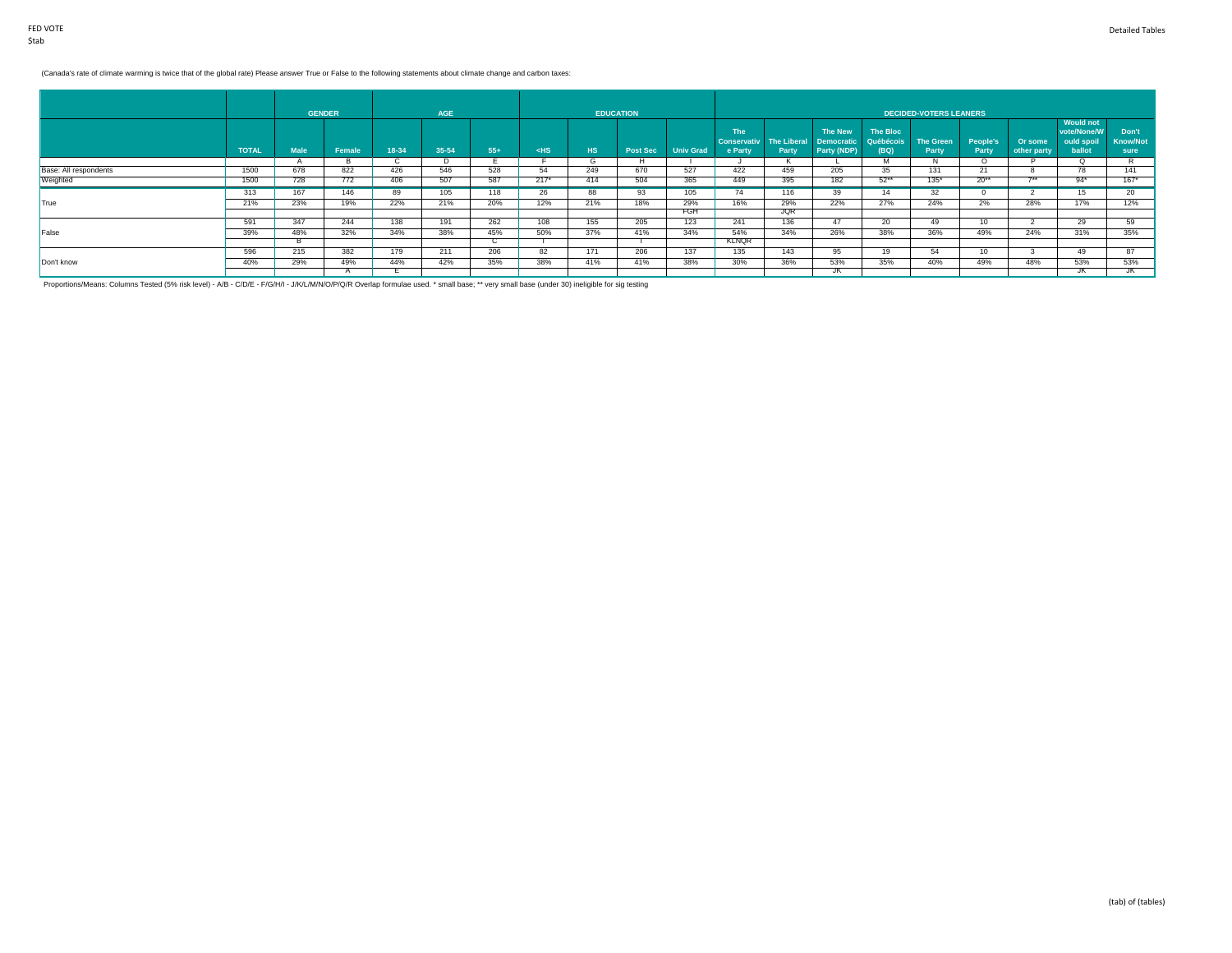# (Canada's rate of climate warming is twice that of the global rate) Please answer True or False to the following statements about climate change and carbon taxes:

|                       |              |             | <b>GENDER</b> |       | <b>AGE</b> |       |        |     | <b>EDUCATION</b> |                  |                                             |                             |                                             |                               | <b>DECIDED-VOTERS LEANERS</b> |                   |                        |                                                         |                                  |
|-----------------------|--------------|-------------|---------------|-------|------------|-------|--------|-----|------------------|------------------|---------------------------------------------|-----------------------------|---------------------------------------------|-------------------------------|-------------------------------|-------------------|------------------------|---------------------------------------------------------|----------------------------------|
|                       | <b>TOTAL</b> | <b>Male</b> | Female        | 18-34 | 35-54      | $55+$ | $<$ HS | HS. | <b>Post Sec</b>  | <b>Univ Grad</b> | <b>The</b><br><b>Conservativ</b><br>e Party | <b>The Liberal</b><br>Party | The New<br><b>Democratic</b><br>Party (NDP) | The Bloc<br>Québécois<br>(BQ) | <b>The Green</b><br>Party     | People's<br>Party | Or some<br>other party | <b>Would not</b><br>vote/None/W<br>ould spoil<br>ballot | Don't<br><b>Know/Not</b><br>sure |
|                       |              |             |               | ι.    | $\cup$     |       |        | G   |                  |                  |                                             |                             |                                             |                               | IV.                           | $\Omega$          |                        |                                                         |                                  |
| Base: All respondents | 1500         | 678         | 822           | 426   | 546        | 528   | 54     | 249 | 670              | 527              | 422                                         | 459                         | 205                                         | 35                            | 131                           | 21                | ີ                      | 78                                                      | 141                              |
| Weighted              | 1500         | 728         | 772           | 406   | 507        | 587   | $217*$ | 414 | 504              | 365              | 449                                         | 395                         | 182                                         | $52***$                       | $135*$                        | $20**$            | $7+$                   | $94*$                                                   | $167*$                           |
|                       | 313          | 167         | 146           | 89    | 105        | 118   | 26     | 88  | 93               | 105              | 74                                          | 116                         | 39                                          | 14                            | 32                            |                   |                        | 15                                                      | 20 <sup>2</sup>                  |
| True                  | 21%          | 23%         | 19%           | 22%   | 21%        | 20%   | 12%    | 21% | 18%              | 29%              | 16%                                         | 29%                         | 22%                                         | 27%                           | 24%                           | 2%                | 28%                    | 17%                                                     | 12%                              |
|                       |              |             |               |       |            |       |        |     |                  | FGH              |                                             | <b>JQR</b>                  |                                             |                               |                               |                   |                        |                                                         |                                  |
|                       | 591          | 347         | 244           | 138   | 191        | 262   | 108    | 155 | 205              | 123              | 241                                         | 136                         | 47                                          | 20                            | 49                            | 10                |                        | 29                                                      | 59                               |
| False                 | 39%          | 48%         | 32%           | 34%   | 38%        | 45%   | 50%    | 37% | 41%              | 34%              | 54%                                         | 34%                         | 26%                                         | 38%                           | 36%                           | 49%               | 24%                    | 31%                                                     | 35%                              |
|                       |              |             |               |       |            |       |        |     |                  |                  | KLNQR                                       |                             |                                             |                               |                               |                   |                        |                                                         |                                  |
|                       | 596          | 215         | 382           | 179   | 211        | 206   | 82     | 171 | 206              | 137              | 135                                         | 143                         | 95                                          | 19                            | 54                            | 10                |                        | 49                                                      | $\Omega$                         |
| Don't know            | 40%          | 29%         | 49%           | 44%   | 42%        | 35%   | 38%    | 41% | 41%              | 38%              | 30%                                         | 36%                         | 53%                                         | 35%                           | 40%                           | 49%               | 48%                    | 53%                                                     | 53%                              |
|                       |              |             |               |       |            |       |        |     |                  |                  |                                             |                             |                                             |                               |                               |                   |                        | JN                                                      |                                  |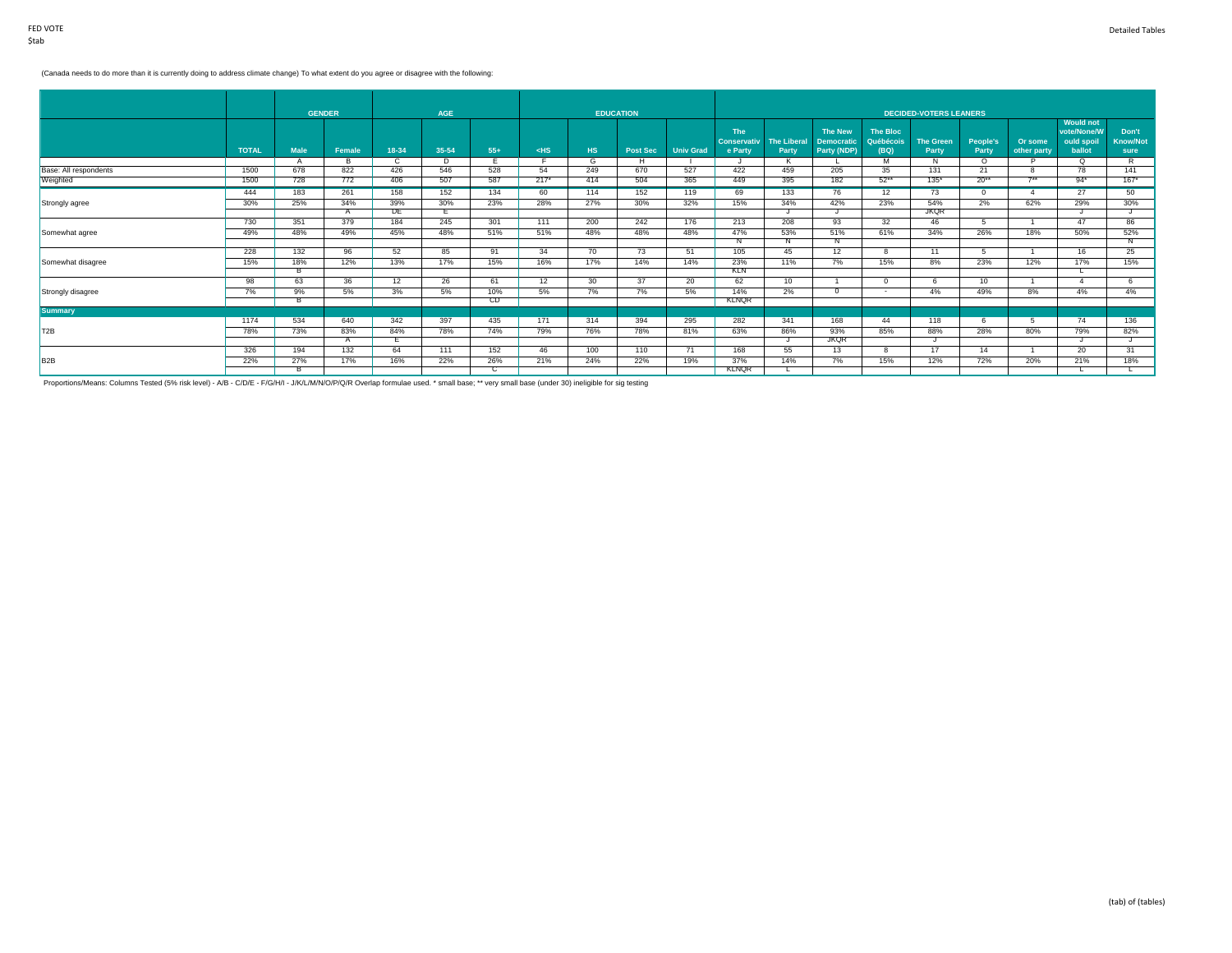### (Canada needs to do more than it is currently doing to address climate change) To what extent do you agree or disagree with the following:

| Or some     | <b>Would not</b><br>vote/None/W<br>Don't      |
|-------------|-----------------------------------------------|
|             |                                               |
|             | <b>Know/Not</b><br>ould spoil                 |
| other party | ballot<br>sure                                |
|             | R<br>O                                        |
|             | 141<br>78                                     |
|             | $167*$<br>$94*$                               |
|             | 50<br>27                                      |
| 62%         | 30%<br>29%                                    |
|             |                                               |
|             | 86<br>47                                      |
|             | 52%<br>50%                                    |
|             | N                                             |
|             | 25<br>16                                      |
|             | 15%<br>17%                                    |
|             |                                               |
|             | 6                                             |
|             | 4%<br>4%                                      |
|             |                                               |
|             | 136<br>74                                     |
|             |                                               |
|             | 82%<br>79%                                    |
|             | 31<br>20                                      |
|             |                                               |
|             | 18%<br>21%                                    |
|             | $7**$<br>18%<br>12%<br>8%<br>-5<br>80%<br>20% |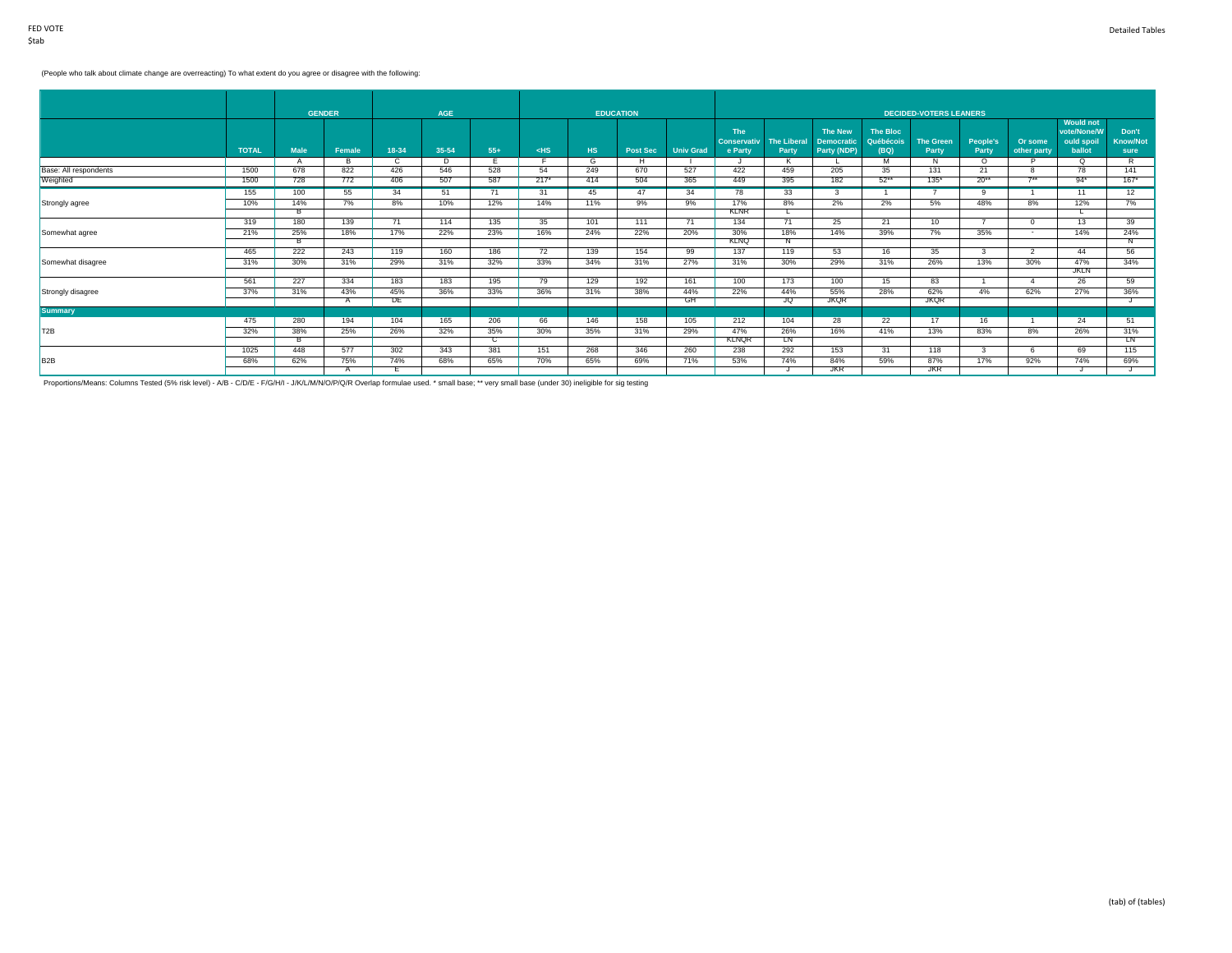# (People who talk about climate change are overreacting) To what extent do you agree or disagree with the following:

|                       |              |                | <b>GENDER</b> |       | <b>AGE</b> |           |        |     | <b>EDUCATION</b> |                  |                                  |                    |                                     |                              | <b>DECIDED-VOTERS LEANERS</b> |            |              |                                               |                          |
|-----------------------|--------------|----------------|---------------|-------|------------|-----------|--------|-----|------------------|------------------|----------------------------------|--------------------|-------------------------------------|------------------------------|-------------------------------|------------|--------------|-----------------------------------------------|--------------------------|
|                       |              |                |               |       |            |           |        |     |                  |                  | <b>The</b><br><b>Conservativ</b> | <b>The Liberal</b> | <b>The New</b><br><b>Democratic</b> | <b>The Bloc</b><br>Québécois | <b>The Green</b>              | People's   | Or some      | <b>Would not</b><br>vote/None/W<br>ould spoil | Don't<br><b>Know/Not</b> |
|                       | <b>TOTAL</b> | <b>Male</b>    | Female        | 18-34 | 35-54      | $55+$     | $<$ HS | HS. | <b>Post Sec</b>  | <b>Univ Grad</b> | e Party                          | Party              | Party (NDP)                         | (BQ)                         | Party                         | Party      | other party  | ballot                                        | sure                     |
|                       |              |                | в             | C.    | D.         |           |        | G   | Н.               |                  |                                  |                    |                                     | м                            | N.                            | O.         |              | $\Omega$                                      | R                        |
| Base: All respondents | 1500         | 678            | 822           | 426   | 546        | 528       | 54     | 249 | 670              | 527              | 422                              | 459                | 205                                 | 35                           | 131                           | 21         | $7**$        | 78                                            | 141                      |
| Weighted              | 1500         | 728            | 772           | 406   | 507        | 587       | $217*$ | 414 | 504              | 365              | 449                              | 395                | 182                                 | $52**$                       | $135*$                        | $20**$     |              | $94*$                                         | $167*$                   |
|                       | 155          | 100            | 55            | 34    | 51         | 71        | 31     | 45  | 47               | 34               | 78                               | 33 <sup>2</sup>    | $\mathcal{R}$                       |                              |                               | $^{\circ}$ |              | 11                                            | 12                       |
| Strongly agree        | 10%          | 14%            | 7%            | 8%    | 10%        | 12%       | 14%    | 11% | 9%               | 9%               | 17%                              | 8%                 | 2%                                  | 2%                           | 5%                            | 48%        | 8%           | 12%                                           | 7%                       |
|                       |              | $\overline{B}$ |               |       |            |           |        |     |                  |                  | <b>KLNR</b>                      |                    |                                     |                              |                               |            |              |                                               |                          |
|                       | 319          | 180            | 139           | 71    | 114        | 135       | 35     | 101 | 111              | 71               | 134                              | 71                 | 25                                  | 21                           | 10                            |            | $\Omega$     | 13                                            | 39                       |
| Somewhat agree        | 21%          | 25%            | 18%           | 17%   | 22%        | 23%       | 16%    | 24% | 22%              | 20%              | 30%                              | 18%                | 14%                                 | 39%                          | 7%                            | 35%        | $\sim$       | 14%                                           | 24%                      |
|                       |              | B              |               |       |            |           |        |     |                  |                  | <b>KLNQ</b>                      |                    |                                     |                              |                               |            |              |                                               | Ν                        |
|                       | 465          | 222            | 243           | 119   | 160        | 186       | 72     | 139 | 154              | 99               | 137                              | 119                | 53                                  | 16                           | 35                            |            |              | 44                                            | 56                       |
| Somewhat disagree     | 31%          | 30%            | 31%           | 29%   | 31%        | 32%       | 33%    | 34% | 31%              | 27%              | 31%                              | 30%                | 29%                                 | 31%                          | 26%                           | 13%        | 30%          | 47%                                           | 34%                      |
|                       |              |                |               |       |            |           |        |     |                  |                  |                                  |                    |                                     |                              |                               |            |              | <b>JKLN</b>                                   |                          |
|                       | 561          | 227            | 334           | 183   | 183        | 195       | 79     | 129 | 192              | 161              | 100                              | 173                | 100                                 | 15                           | 83                            |            | $\mathbf{A}$ | 26                                            | 59                       |
| Strongly disagree     | 37%          | 31%            | 43%           | 45%   | 36%        | 33%       | 36%    | 31% | 38%              | 44%              | 22%                              | 44%                | 55%                                 | 28%                          | 62%                           | 4%         | 62%          | 27%                                           | 36%                      |
|                       |              |                |               | DE    |            |           |        |     |                  | GH               |                                  | JQ                 | <b>JKQR</b>                         |                              | <b>JKQR</b>                   |            |              |                                               |                          |
| <b>Summary</b>        |              |                |               |       |            |           |        |     |                  |                  |                                  |                    |                                     |                              | 17                            |            |              |                                               |                          |
|                       | 475          | 280            | 194           | 104   | 165        | 206       | 66     | 146 | 158              | 105              | 212                              | 104                | 28                                  | 22                           |                               | 16         |              | 24                                            | 51                       |
| T2B                   | 32%          | 38%            | 25%           | 26%   | 32%        | 35%       | 30%    | 35% | 31%              | 29%              | 47%<br><b>KLNOR</b>              | 26%<br>T.N         | 16%                                 | 41%                          | 13%                           | 83%        | 8%           | 26%                                           | 31%<br><b>IN</b>         |
|                       | 1025         | 448            | 577           | 302   | 343        | C.<br>381 | 151    | 268 | 346              | 260              | 238                              | 292                | 153                                 | 31                           | 118                           |            | -6           | 69                                            | 115                      |
|                       |              |                |               |       |            |           |        |     |                  |                  |                                  |                    |                                     |                              |                               |            |              |                                               |                          |
| B <sub>2</sub> B      | 68%          | 62%            | 75%           | 74%   | 68%        | 65%       | 70%    | 65% | 69%              | 71%              | 53%                              | 74%                | 84%<br><b>JKR</b>                   | 59%                          | 87%<br><b>JKR</b>             | 17%        | 92%          | 74%                                           | 69%                      |
|                       |              |                |               | E.    |            |           |        |     |                  |                  |                                  |                    |                                     |                              |                               |            |              |                                               |                          |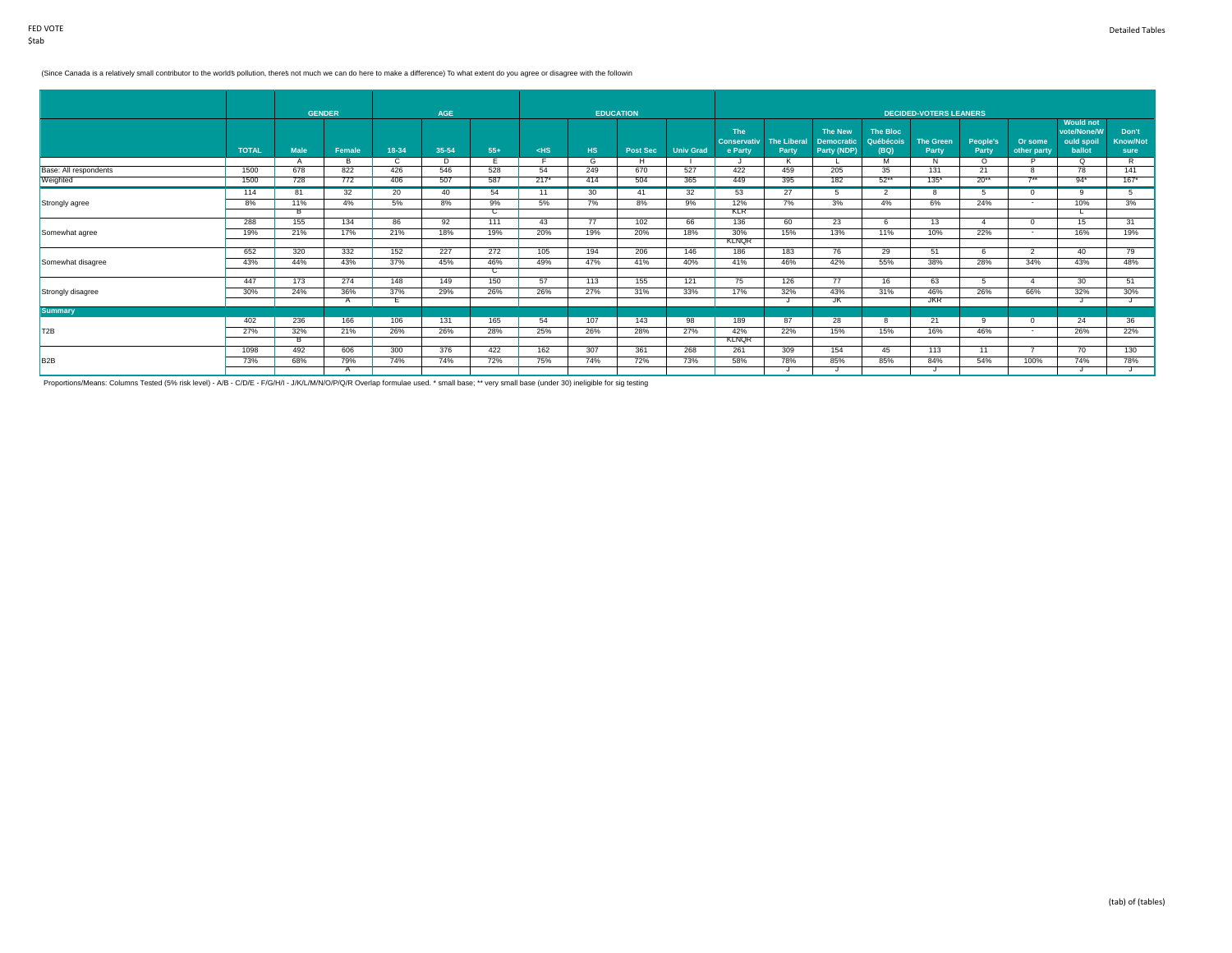#### (Since Canada is a relatively small contributor to the world's pollution, there's not much we can do here to make a difference) To what extent do you agree or disagree with the followin

|                       |              | <b>GENDER</b> |          |       | AGE   |       |        |                | <b>EDUCATION</b> |                  |                                             |                             |                                                    |                               | <b>DECIDED-VOTERS LEANERS</b> |                   |                        |                                                         |                                  |
|-----------------------|--------------|---------------|----------|-------|-------|-------|--------|----------------|------------------|------------------|---------------------------------------------|-----------------------------|----------------------------------------------------|-------------------------------|-------------------------------|-------------------|------------------------|---------------------------------------------------------|----------------------------------|
|                       | <b>TOTAL</b> | <b>Male</b>   | Female   | 18-34 | 35-54 | $55+$ | $<$ HS | H <sub>S</sub> | <b>Post Sec</b>  | <b>Univ Grad</b> | <b>The</b><br><b>Conservativ</b><br>e Party | <b>The Liberal</b><br>Party | <b>The New</b><br><b>Democratic</b><br>Party (NDP) | The Bloc<br>Québécois<br>(BQ) | <b>The Green</b><br>Party     | People's<br>Party | Or some<br>other party | <b>Would not</b><br>vote/None/W<br>ould spoil<br>ballot | Don't<br><b>Know/Not</b><br>sure |
|                       |              |               | <b>R</b> |       | D.    |       |        | G              | H                |                  |                                             |                             |                                                    | M                             | N                             | $\Omega$          |                        | $\Omega$                                                | R                                |
| Base: All respondents | 1500         | 678           | 822      | 426   | 546   | 528   | 54     | 249            | 670              | 527              | 422                                         | 459                         | 205                                                | 35                            | 131                           | 21                |                        | 78                                                      | 141                              |
| Weighted              | 1500         | 728           | 772      | 406   | 507   | 587   | $217*$ | 414            | 504              | 365              | 449                                         | 395                         | 182                                                | $52***$                       | $135*$                        | $20**$            | $7**$                  | $94*$                                                   | $167*$                           |
|                       | 114          | 81            | 32       | 20    | 40    | 54    | 11     | 30             | 41               | 32               | 53                                          | 27                          |                                                    |                               |                               |                   | $\Omega$               | ۹                                                       | 5.                               |
| Strongly agree        | 8%           | 11%           | 4%       | 5%    | 8%    | 9%    | 5%     | 7%             | 8%               | 9%               | 12%                                         | 7%                          | 3%                                                 | 4%                            | 6%                            | 24%               | $\sim$                 | 10%                                                     | 3%                               |
|                       |              | $_{\rm B}$    |          |       |       | C.    |        |                |                  |                  | <b>KLR</b>                                  |                             |                                                    |                               |                               |                   |                        |                                                         |                                  |
|                       | 288          | 155           | 134      | 86    | 92    | 111   | 43     | 77             | 102              | 66               | 136                                         | 60                          | 23                                                 | -6                            | 13                            | $\Delta$          | $\Omega$               | 15                                                      | 31                               |
| Somewhat agree        | 19%          | 21%           | 17%      | 21%   | 18%   | 19%   | 20%    | 19%            | 20%              | 18%              | 30%                                         | 15%                         | 13%                                                | 11%                           | 10%                           | 22%               | $\sim$                 | 16%                                                     | 19%                              |
|                       |              |               |          |       |       |       |        |                |                  |                  | <b>KLNQR</b>                                |                             |                                                    |                               |                               |                   |                        |                                                         |                                  |
|                       | 652          | 320           | 332      | 152   | 227   | 272   | 105    | 194            | 206              | 146              | 186                                         | 183                         | 76                                                 | 29                            | 51                            |                   | 2                      | 40                                                      | 79                               |
| Somewhat disagree     | 43%          | 44%           | 43%      | 37%   | 45%   | 46%   | 49%    | 47%            | 41%              | 40%              | 41%                                         | 46%                         | 42%                                                | 55%                           | 38%                           | 28%               | 34%                    | 43%                                                     | 48%                              |
|                       | 447          |               |          | 148   | 149   | C     |        |                |                  |                  |                                             |                             |                                                    |                               |                               |                   |                        |                                                         |                                  |
|                       |              | 173           | 274      |       |       | 150   | 57     | 113            | 155              | 121              | 75                                          | 126                         | 77                                                 | 16                            | 63                            | -5                | $\mathbf{A}$           | 30                                                      | 51                               |
| Strongly disagree     | 30%          | 24%           | 36%      | 37%   | 29%   | 26%   | 26%    | 27%            | 31%              | 33%              | 17%                                         | 32%                         | 43%<br>JK                                          | 31%                           | 46%<br><b>JKR</b>             | 26%               | 66%                    | 32%                                                     | 30%                              |
| <b>Summary</b>        |              |               |          | н.    |       |       |        |                |                  |                  |                                             |                             |                                                    |                               |                               |                   |                        |                                                         |                                  |
|                       | 402          | 236           | 166      | 106   | 131   | 165   | 54     | 107            | 143              | 98               | 189                                         | 87                          | 28                                                 | -8                            | 21                            | $\alpha$          | $\Omega$               | 24                                                      | 36                               |
|                       |              |               |          |       |       |       |        |                |                  |                  |                                             |                             |                                                    |                               |                               |                   | $\sim$                 |                                                         |                                  |
| T2B                   | 27%          | 32%           | 21%      | 26%   | 26%   | 28%   | 25%    | 26%            | 28%              | 27%              | 42%<br><b>KLNOR</b>                         | 22%                         | 15%                                                | 15%                           | 16%                           | 46%               |                        | 26%                                                     | 22%                              |
|                       | 1098         | 492           | 606      | 300   | 376   | 422   | 162    | 307            | 361              | 268              | 261                                         | 309                         | 154                                                | 45                            | 113                           | 11                |                        | 70                                                      | 130                              |
| B <sub>2B</sub>       | 73%          | 68%           | 79%      | 74%   | 74%   | 72%   | 75%    | 74%            | 72%              | 73%              | 58%                                         | 78%                         | 85%                                                | 85%                           | 84%                           | 54%               | 100%                   | 74%                                                     | 78%                              |
|                       |              |               |          |       |       |       |        |                |                  |                  |                                             |                             |                                                    |                               |                               |                   |                        |                                                         |                                  |
|                       |              |               |          |       |       |       |        |                |                  |                  |                                             |                             |                                                    |                               |                               |                   |                        |                                                         |                                  |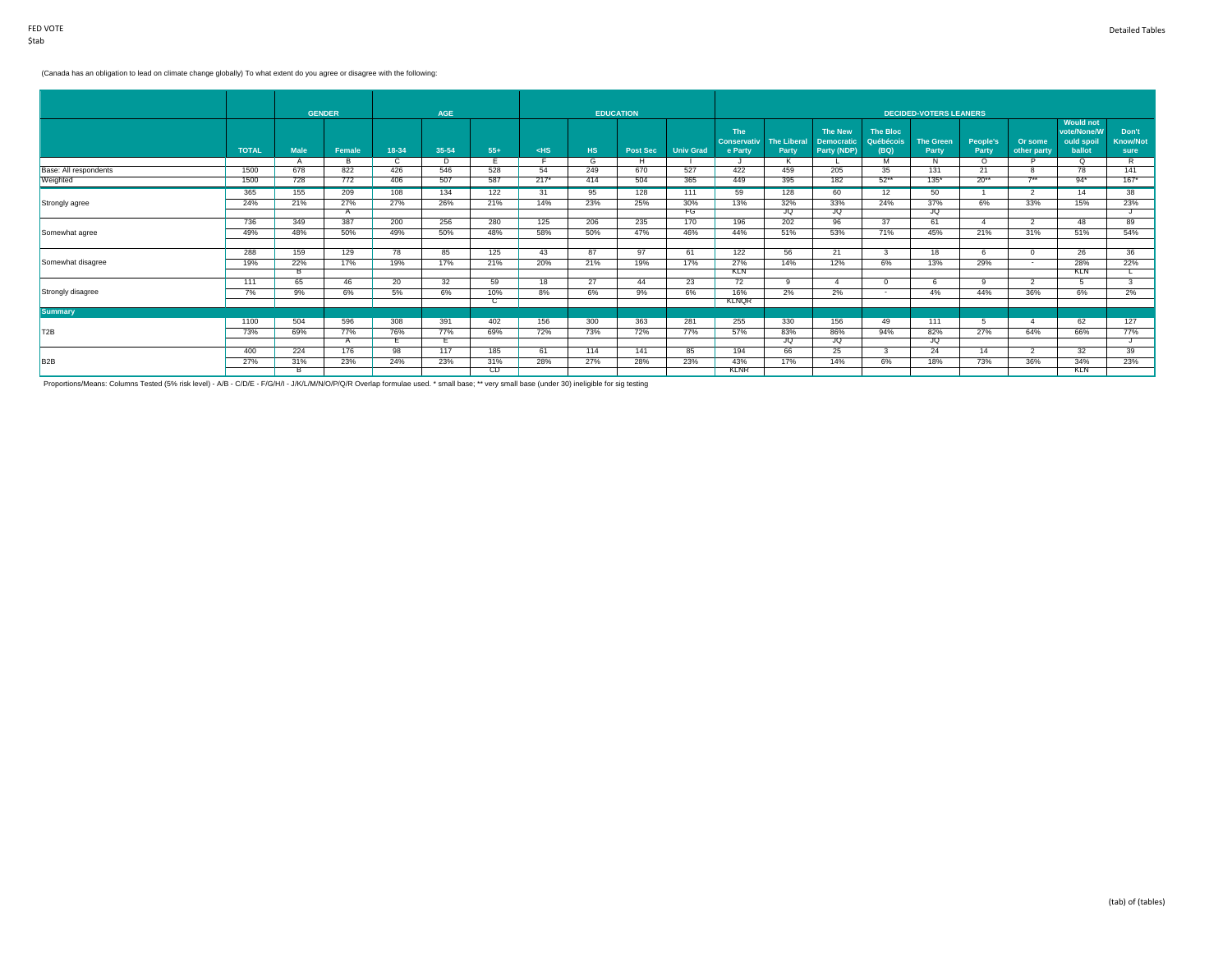## (Canada has an obligation to lead on climate change globally) To what extent do you agree or disagree with the following:

|                       |              | <b>GENDER</b> |        |       | <b>AGE</b> |       |        |           | <b>EDUCATION</b> |                  |                               |                             |                                  |                   | <b>DECIDED-VOTERS LEANERS</b> |                          |                        |                                 |                         |
|-----------------------|--------------|---------------|--------|-------|------------|-------|--------|-----------|------------------|------------------|-------------------------------|-----------------------------|----------------------------------|-------------------|-------------------------------|--------------------------|------------------------|---------------------------------|-------------------------|
|                       |              |               |        |       |            |       |        |           |                  |                  | <b>The</b>                    |                             | <b>The New</b>                   | The Bloc          |                               |                          |                        | <b>Would not</b><br>vote/None/W | Don't                   |
|                       | <b>TOTAL</b> | <b>Male</b>   | Female | 18-34 | 35-54      | $55+$ | $<$ HS | <b>HS</b> | <b>Post Sec</b>  | <b>Univ Grad</b> | <b>Conservativ</b><br>e Party | <b>The Liberal</b><br>Party | <b>Democratic</b><br>Party (NDP) | Québécois<br>(BQ) | <b>The Green</b><br>Party     | <b>People's</b><br>Party | Or some<br>other party | ould spoil<br>ballot            | <b>Know/Not</b><br>sure |
|                       |              |               |        |       | D          |       |        | G         | н                |                  |                               | к                           |                                  | м                 | N                             | $\Omega$                 |                        | O.                              | R                       |
| Base: All respondents | 1500         | 678           | 822    | 426   | 546        | 528   | 54     | 249       | 670              | 527              | 422                           | 459                         | 205                              | 35                | 131                           | 21                       |                        | 78                              | 141                     |
| Weighted              | 1500         | 728           | 772    | 406   | 507        | 587   | $217*$ | 414       | 504              | 365              | 449                           | 395                         | 182                              | $52**$            | $135*$                        | $20**$                   | $7**$                  | $94*$                           | $167*$                  |
|                       | 365          | 155           | 209    | 108   | 134        | 122   | 31     | 95        | 128              | 111              | 59                            | 128                         | 60                               | 12                | 50                            |                          | $\mathcal{P}$          | 14                              | 38                      |
| Strongly agree        | 24%          | 21%           | 27%    | 27%   | 26%        | 21%   | 14%    | 23%       | 25%              | 30%              | 13%                           | 32%                         | 33%                              | 24%               | 37%                           | 6%                       | 33%                    | 15%                             | 23%                     |
|                       |              |               | A      |       |            |       |        |           |                  | FG               |                               | JQ                          | JQ                               |                   | JQ                            |                          |                        |                                 |                         |
|                       | 736          | 349           | 387    | 200   | 256        | 280   | 125    | 206       | 235              | 170              | 196                           | 202                         | 96                               | 37                | 61                            |                          | $\overline{2}$         | 48                              | 89                      |
| Somewhat agree        | 49%          | 48%           | 50%    | 49%   | 50%        | 48%   | 58%    | 50%       | 47%              | 46%              | 44%                           | 51%                         | 53%                              | 71%               | 45%                           | 21%                      | 31%                    | 51%                             | 54%                     |
|                       |              |               |        |       |            |       |        |           |                  |                  |                               |                             |                                  |                   |                               |                          |                        |                                 |                         |
|                       | 288          | 159           | 129    | 78    | 85         | 125   | 43     | 87        | 97               | 61               | 122                           | 56                          | 21                               | $\mathbf{3}$      | 18                            | 6                        | $^{\circ}$             | 26                              | 36                      |
| Somewhat disagree     | 19%          | 22%           | 17%    | 19%   | 17%        | 21%   | 20%    | 21%       | 19%              | 17%              | 27%                           | 14%                         | 12%                              | 6%                | 13%                           | 29%                      | $\sim$                 | 28%                             | 22%                     |
|                       |              |               |        |       |            |       |        |           |                  |                  | KLN                           |                             |                                  |                   |                               |                          |                        | <b>KLN</b>                      |                         |
|                       | 111          | 65            | 46     | 20    | 32         | 59    | 18     | 27        | 44               | 23               | 72                            | $^{\circ}$                  |                                  | $\Omega$          |                               | q                        |                        |                                 |                         |
| Strongly disagree     | 7%           | 9%            | 6%     | 5%    | 6%         | 10%   | 8%     | 6%        | 9%               | 6%               | 16%                           | 2%                          | 2%                               | $\sim$            | 4%                            | 44%                      | 36%                    | 6%                              | 2%                      |
|                       |              |               |        |       |            | ◡     |        |           |                  |                  | <b>KLNOR</b>                  |                             |                                  |                   |                               |                          |                        |                                 |                         |
| <b>Summary</b>        |              |               |        |       |            |       |        |           |                  |                  |                               |                             |                                  |                   |                               |                          |                        |                                 |                         |
|                       | 1100         | 504           | 596    | 308   | 391        | 402   | 156    | 300       | 363              | 281              | 255                           | 330                         | 156                              | 49                | 111                           | -5                       | $\overline{A}$         | 62                              | 127                     |
| T <sub>2B</sub>       | 73%          | 69%           | 77%    | 76%   | 77%        | 69%   | 72%    | 73%       | 72%              | 77%              | 57%                           | 83%                         | 86%                              | 94%               | 82%                           | 27%                      | 64%                    | 66%                             | 77%                     |
|                       |              |               |        |       |            |       |        |           |                  |                  |                               | JQ                          | JQ                               |                   | JQ                            |                          |                        |                                 |                         |
|                       | 400          | 224           | 176    | 98    | 117        | 185   | 61     | 114       | 141              | 85               | 194                           | 66                          | 25                               | -3                | 24                            | 14                       | $\overline{2}$         | 32                              | 39                      |
| B <sub>2</sub> B      | 27%          | 31%           | 23%    | 24%   | 23%        | 31%   | 28%    | 27%       | 28%              | 23%              | 43%                           | 17%                         | 14%                              | 6%                | 18%                           | 73%                      | 36%                    | 34%                             | 23%                     |
|                       |              | в             |        |       |            | CD    |        |           |                  |                  | <b>KLNR</b>                   |                             |                                  |                   |                               |                          |                        | KLN                             |                         |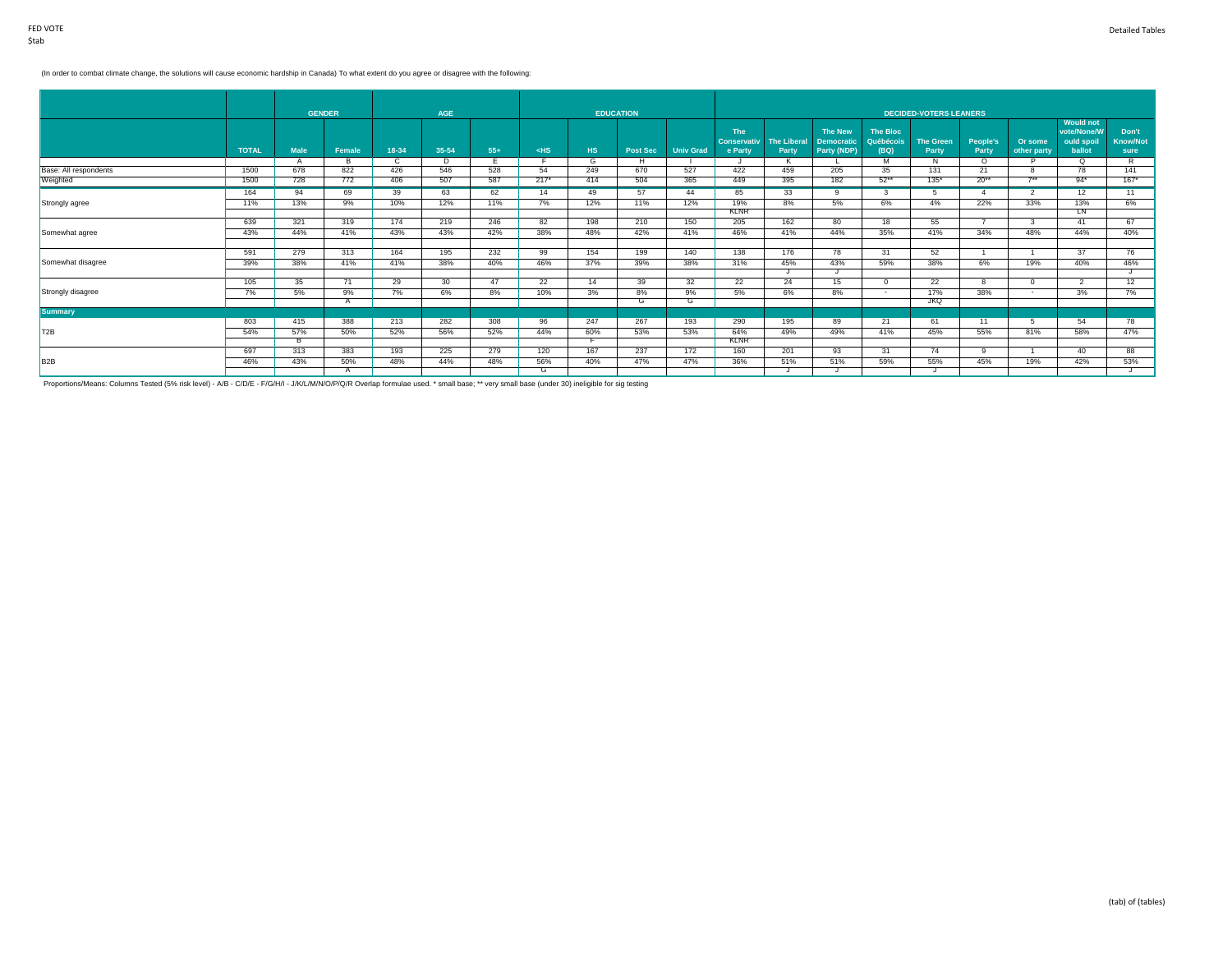### (In order to combat climate change, the solutions will cause economic hardship in Canada) To what extent do you agree or disagree with the following:

|                       |              | <b>GENDER</b> |        |       | <b>AGE</b>      |       |        | <b>EDUCATION</b> |                 |                  |                                             |                             |                                                    |                                      | <b>DECIDED-VOTERS LEANERS</b> |                   |                          |                                                         |                                  |
|-----------------------|--------------|---------------|--------|-------|-----------------|-------|--------|------------------|-----------------|------------------|---------------------------------------------|-----------------------------|----------------------------------------------------|--------------------------------------|-------------------------------|-------------------|--------------------------|---------------------------------------------------------|----------------------------------|
|                       | <b>TOTAL</b> | <b>Male</b>   | Female | 18-34 | $35 - 54$       | $55+$ | $<$ HS | HS.              | <b>Post Sec</b> | <b>Univ Grad</b> | <b>The</b><br><b>Conservativ</b><br>e Party | <b>The Liberal</b><br>Party | <b>The New</b><br><b>Democratic</b><br>Party (NDP) | <b>The Bloc</b><br>Québécois<br>(BQ) | <b>The Green</b><br>Party     | People's<br>Party | Or some<br>other party   | <b>Would not</b><br>vote/None/W<br>ould spoil<br>ballot | Don't<br><b>Know/Not</b><br>sure |
|                       |              | A             | R      | C     | Þ               |       |        | G                | H               |                  |                                             |                             |                                                    | M                                    | N                             | $\Omega$          |                          | $\circ$                                                 | R                                |
| Base: All respondents | 1500         | 678           | 822    | 426   | 546             | 528   | 54     | 249              | 670             | 527              | 422                                         | 459                         | 205                                                | 35                                   | 131                           | 21                |                          | 78                                                      | 141                              |
| Weighted              | 1500         | 728           | 772    | 406   | 507             | 587   | $217*$ | 414              | 504             | 365              | 449                                         | 395                         | 182                                                | $52**$                               | $135*$                        | $20**$            | $7**$                    | $94*$                                                   | $167*$                           |
|                       | 164          | 94            | 69     | 39    | 63              | 62    | 14     | 49               | 57              | 44               | 85                                          | 33                          | ٩                                                  |                                      |                               |                   | $\overline{\phantom{a}}$ | 12                                                      | 11                               |
| Strongly agree        | 11%          | 13%           | 9%     | 10%   | 12%             | 11%   | 7%     | 12%              | 11%             | 12%              | 19%                                         | 8%                          | 5%                                                 | 6%                                   | 4%                            | 22%               | 33%                      | 13%                                                     | 6%                               |
|                       |              |               |        |       |                 |       |        |                  |                 |                  | <b>KLNR</b>                                 |                             |                                                    |                                      |                               |                   |                          | <b>LN</b>                                               |                                  |
|                       | 639          | 321           | 319    | 174   | 219             | 246   | 82     | 198              | 210             | 150              | 205                                         | 162                         | 80                                                 | 18                                   | 55                            |                   | $\overline{3}$           | 41                                                      | 67                               |
| Somewhat agree        | 43%          | 44%           | 41%    | 43%   | 43%             | 42%   | 38%    | 48%              | 42%             | 41%              | 46%                                         | 41%                         | 44%                                                | 35%                                  | 41%                           | 34%               | 48%                      | 44%                                                     | 40%                              |
|                       |              |               |        |       |                 |       |        |                  |                 |                  |                                             |                             |                                                    |                                      |                               |                   |                          |                                                         |                                  |
|                       | 591          | 279           | 313    | 164   | 195             | 232   | 99     | 154              | 199             | 140              | 138                                         | 176                         | 78                                                 | 31                                   | 52                            |                   |                          | 37                                                      | 76                               |
| Somewhat disagree     | 39%          | 38%           | 41%    | 41%   | 38%             | 40%   | 46%    | 37%              | 39%             | 38%              | 31%                                         | 45%                         | 43%                                                | 59%                                  | 38%                           | 6%                | 19%                      | 40%                                                     | 46%                              |
|                       |              |               |        |       |                 |       |        |                  |                 | 32               |                                             |                             |                                                    |                                      |                               |                   |                          |                                                         |                                  |
|                       | 105          | 35            | 71     | 29    | 30 <sup>2</sup> | 47    | 22     | 14               | 39              |                  | 22                                          | 24                          | 15                                                 | $\Omega$                             | 22                            |                   |                          | $\mathfrak{p}$                                          | 12                               |
| Strongly disagree     | 7%           | 5%            | 9%     | 7%    | 6%              | 8%    | 10%    | 3%               | 8%              | 9%               | 5%                                          | 6%                          | 8%                                                 | $\overline{a}$                       | 17%<br><b>JKQ</b>             | 38%               | $\sim$                   | 3%                                                      | 7%                               |
| <b>Summary</b>        |              |               | A      |       |                 |       |        |                  | G               | G                |                                             |                             |                                                    |                                      |                               |                   |                          |                                                         |                                  |
|                       | 803          | 415           | 388    | 213   | 282             | 308   | 96     | 247              | 267             | 193              | 290                                         | 195                         | 89                                                 | 21                                   | 61                            | 11                | 5                        | 54                                                      | 78                               |
| T <sub>2B</sub>       |              |               |        |       |                 |       |        |                  |                 |                  |                                             |                             |                                                    |                                      |                               |                   |                          |                                                         |                                  |
|                       | 54%          | 57%           | 50%    | 52%   | 56%             | 52%   | 44%    | 60%              | 53%             | 53%              | 64%<br><b>KLNR</b>                          | 49%                         | 49%                                                | 41%                                  | 45%                           | 55%               | 81%                      | 58%                                                     | 47%                              |
|                       | 697          | 313           | 383    | 193   | 225             | 279   | 120    | 167              | 237             | 172              | 160                                         | 201                         | 93                                                 | 31                                   | 74                            | -9                |                          | 40                                                      | 88                               |
| B <sub>2</sub> B      | 46%          | 43%           | 50%    | 48%   | 44%             | 48%   | 56%    | 40%              | 47%             | 47%              | 36%                                         | 51%                         | 51%                                                | 59%                                  | 55%                           | 45%               | 19%                      | 42%                                                     | 53%                              |
|                       |              |               |        |       |                 |       | G      |                  |                 |                  |                                             |                             |                                                    |                                      |                               |                   |                          |                                                         |                                  |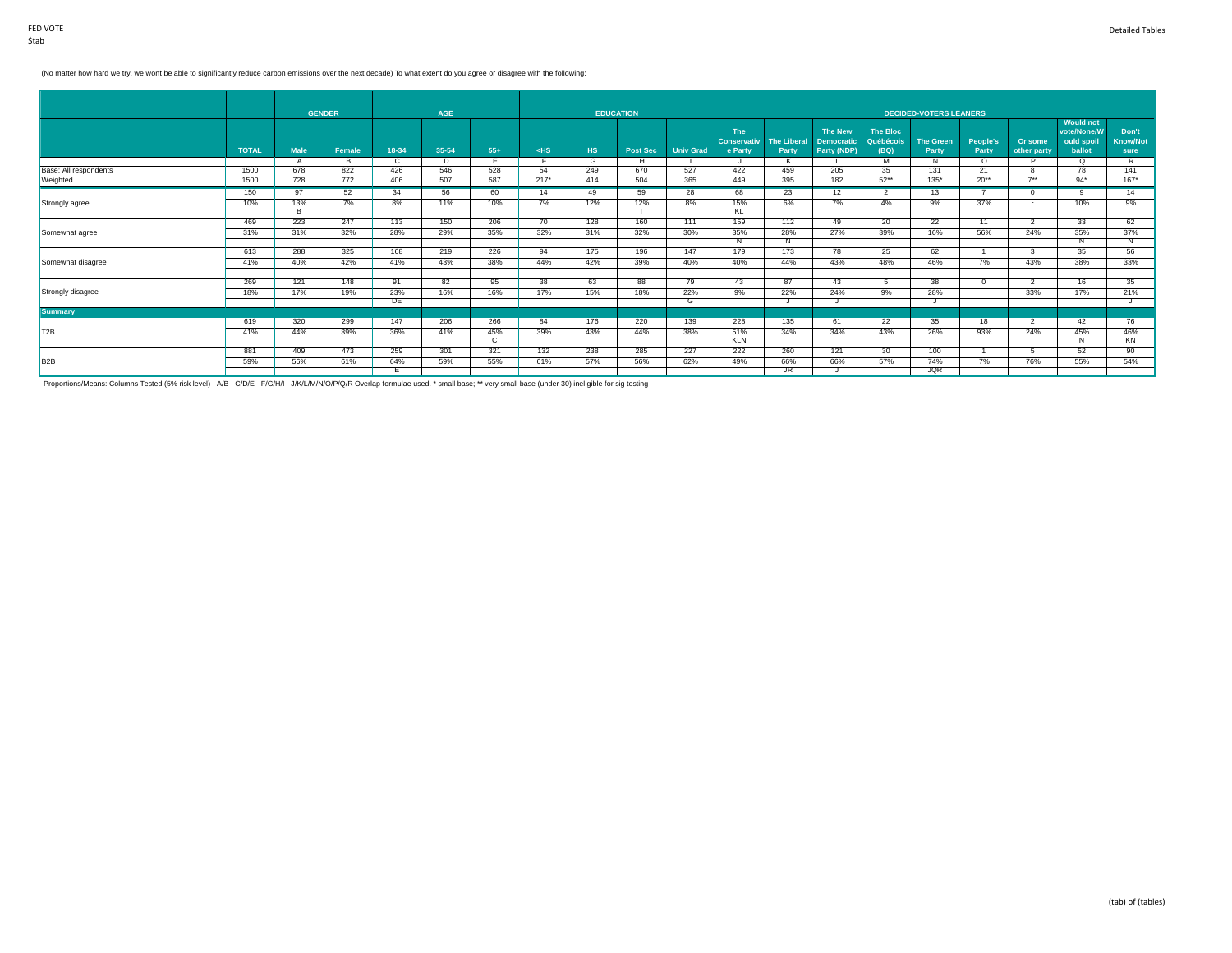## (No matter how hard we try, we won't be able to significantly reduce carbon emissions over the next decade) To what extent do you agree or disagree with the following:

|                       |              | <b>GENDER</b> |          |       | AGE   |       |        |     | <b>EDUCATION</b> |                  |                                             |                             |                                                    |                               | <b>DECIDED-VOTERS LEANERS</b> |                   |                        |                                                         |                                  |
|-----------------------|--------------|---------------|----------|-------|-------|-------|--------|-----|------------------|------------------|---------------------------------------------|-----------------------------|----------------------------------------------------|-------------------------------|-------------------------------|-------------------|------------------------|---------------------------------------------------------|----------------------------------|
|                       | <b>TOTAL</b> | <b>Male</b>   | Female   | 18-34 | 35-54 | $55+$ | $<$ HS | HS. | <b>Post Sec</b>  | <b>Univ Grad</b> | <b>The</b><br><b>Conservativ</b><br>e Party | <b>The Liberal</b><br>Party | <b>The New</b><br><b>Democratic</b><br>Party (NDP) | The Bloc<br>Québécois<br>(BQ) | <b>The Green</b><br>Party     | People's<br>Party | Or some<br>other party | <b>Would not</b><br>vote/None/W<br>ould spoil<br>ballot | Don't<br><b>Know/Not</b><br>sure |
|                       |              |               | <b>B</b> |       | D     |       |        | G   | H                |                  | 422                                         |                             |                                                    | M                             | N                             | $\circ$           |                        | $\circ$                                                 | R                                |
| Base: All respondents | 1500         | 678           | 822      | 426   | 546   | 528   | 54     | 249 | 670              | 527              |                                             | 459                         | 205                                                | 35                            | 131                           | 21                | 8<br>$7**$             | 78                                                      | 141                              |
| Weighted              | 1500         | 728           | 772      | 406   | 507   | 587   | $217*$ | 414 | 504              | 365              | 449                                         | 395                         | 182                                                | $52***$                       | $135*$                        | $20**$            |                        | $94*$                                                   | $167*$                           |
|                       | 150          | 97            | 52       | 34    | 56    | 60    | 14     | 49  | 59               | 28               | 68                                          | 23                          | 12                                                 |                               | 13                            |                   | $\Omega$               | $\Omega$                                                | 14                               |
| Strongly agree        | 10%          | 13%           | 7%       | 8%    | 11%   | 10%   | 7%     | 12% | 12%              | 8%               | 15%                                         | 6%                          | 7%                                                 | 4%                            | 9%                            | 37%               | $\sim$                 | 10%                                                     | 9%                               |
|                       |              | в             |          |       |       |       |        |     |                  |                  | <b>KL</b>                                   |                             |                                                    |                               |                               |                   |                        |                                                         |                                  |
|                       | 469          | 223           | 247      | 113   | 150   | 206   | 70     | 128 | 160              | 111              | 159                                         | 112                         | 49                                                 | 20                            | $\overline{22}$               | 11                | $\overline{2}$         | 33                                                      | 62                               |
| Somewhat agree        | 31%          | 31%           | 32%      | 28%   | 29%   | 35%   | 32%    | 31% | 32%              | 30%              | 35%                                         | 28%                         | 27%                                                | 39%                           | 16%                           | 56%               | 24%                    | 35%                                                     | 37%                              |
|                       |              |               |          |       |       |       |        |     |                  |                  |                                             |                             |                                                    |                               |                               |                   |                        |                                                         | Ν                                |
|                       | 613          | 288           | 325      | 168   | 219   | 226   | 94     | 175 | 196              | 147              | 179                                         | 173                         | 78                                                 | 25                            | 62                            |                   |                        | 35                                                      | 56                               |
| Somewhat disagree     | 41%          | 40%           | 42%      | 41%   | 43%   | 38%   | 44%    | 42% | 39%              | 40%              | 40%                                         | 44%                         | 43%                                                | 48%                           | 46%                           | 7%                | 43%                    | 38%                                                     | 33%                              |
|                       |              |               |          |       |       |       |        |     |                  |                  |                                             |                             |                                                    |                               |                               |                   |                        |                                                         |                                  |
|                       | 269          | 121           | 148      | 91    | 82    | 95    | 38     | 63  | 88               | 79               | 43                                          | 87                          | 43                                                 | 5                             | 38                            | $\Omega$          | 2                      | 16                                                      | 35                               |
| Strongly disagree     | 18%          | 17%           | 19%      | 23%   | 16%   | 16%   | 17%    | 15% | 18%              | 22%              | 9%                                          | 22%                         | 24%                                                | 9%                            | 28%                           | $\sim$            | 33%                    | 17%                                                     | 21%                              |
|                       |              |               |          | DE    |       |       |        |     |                  | G                |                                             |                             |                                                    |                               |                               |                   |                        |                                                         |                                  |
| <b>Summary</b>        |              |               |          |       |       |       |        |     |                  |                  |                                             |                             |                                                    |                               |                               |                   |                        |                                                         |                                  |
|                       | 619          | 320           | 299      | 147   | 206   | 266   | 84     | 176 | 220              | 139              | 228                                         | 135                         | 61                                                 | 22                            | 35                            | 18                | $\overline{2}$         | 42                                                      | 76                               |
| T <sub>2B</sub>       | 41%          | 44%           | 39%      | 36%   | 41%   | 45%   | 39%    | 43% | 44%              | 38%              | 51%                                         | 34%                         | 34%                                                | 43%                           | 26%                           | 93%               | 24%                    | 45%                                                     | 46%                              |
|                       |              |               |          |       |       | U     |        |     |                  |                  | <b>KLN</b>                                  |                             |                                                    |                               |                               |                   |                        |                                                         | KN                               |
|                       | 881          | 409           | 473      | 259   | 301   | 321   | 132    | 238 | 285              | 227              | 222                                         | 260                         | 121                                                | 30                            | 100                           |                   |                        | 52                                                      | 90                               |
| B <sub>2</sub> B      | 59%          | 56%           | 61%      | 64%   | 59%   | 55%   | 61%    | 57% | 56%              | 62%              | 49%                                         | 66%                         | 66%                                                | 57%                           | 74%                           | 7%                | 76%                    | 55%                                                     | 54%                              |
|                       |              |               |          |       |       |       |        |     |                  |                  |                                             | JR                          |                                                    |                               | JOR                           |                   |                        |                                                         |                                  |